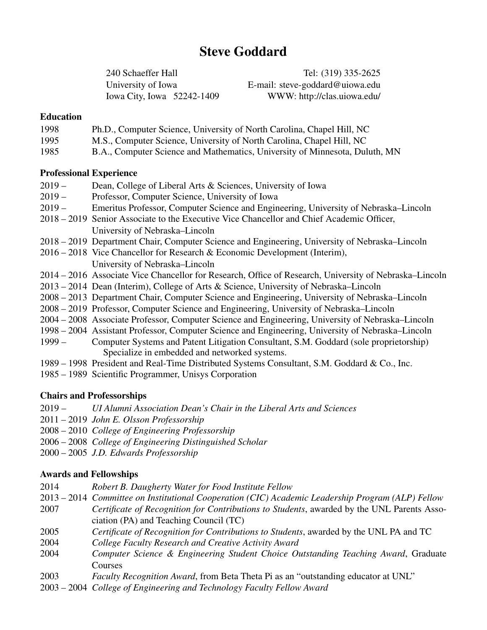# Steve Goddard

240 Schaeffer Hall Tel: (319) 335-2625 University of Iowa E-mail: steve-goddard@uiowa.edu Iowa City, Iowa 52242-1409 WWW: http://clas.uiowa.edu/

# Education

| 1998 |  | Ph.D., Computer Science, University of North Carolina, Chapel Hill, NC |  |
|------|--|------------------------------------------------------------------------|--|
|------|--|------------------------------------------------------------------------|--|

- 1995 M.S., Computer Science, University of North Carolina, Chapel Hill, NC
- 1985 B.A., Computer Science and Mathematics, University of Minnesota, Duluth, MN

# Professional Experience

- 2019 Dean, College of Liberal Arts & Sciences, University of Iowa
- 2019 Professor, Computer Science, University of Iowa
- 2019 Emeritus Professor, Computer Science and Engineering, University of Nebraska–Lincoln
- 2018 2019 Senior Associate to the Executive Vice Chancellor and Chief Academic Officer, University of Nebraska–Lincoln
- 2018 2019 Department Chair, Computer Science and Engineering, University of Nebraska–Lincoln
- 2016 2018 Vice Chancellor for Research & Economic Development (Interim), University of Nebraska–Lincoln
- 2014 2016 Associate Vice Chancellor for Research, Office of Research, University of Nebraska–Lincoln
- 2013 2014 Dean (Interim), College of Arts & Science, University of Nebraska–Lincoln
- 2008 2013 Department Chair, Computer Science and Engineering, University of Nebraska–Lincoln
- 2008 2019 Professor, Computer Science and Engineering, University of Nebraska–Lincoln
- 2004 2008 Associate Professor, Computer Science and Engineering, University of Nebraska–Lincoln
- 1998 2004 Assistant Professor, Computer Science and Engineering, University of Nebraska–Lincoln
- 1999 Computer Systems and Patent Litigation Consultant, S.M. Goddard (sole proprietorship) Specialize in embedded and networked systems.
- 1989 1998 President and Real-Time Distributed Systems Consultant, S.M. Goddard & Co., Inc.
- 1985 1989 Scientific Programmer, Unisys Corporation

# Chairs and Professorships

- 2019 *UI Alumni Association Dean's Chair in the Liberal Arts and Sciences*
- 2011 2019 *John E. Olsson Professorship*
- 2008 2010 *College of Engineering Professorship*
- 2006 2008 *College of Engineering Distinguished Scholar*
- 2000 2005 *J.D. Edwards Professorship*

# Awards and Fellowships

- 2014 *Robert B. Daugherty Water for Food Institute Fellow*
- 2013 2014 *Committee on Institutional Cooperation (CIC) Academic Leadership Program (ALP) Fellow*
- 2007 *Certificate of Recognition for Contributions to Students*, awarded by the UNL Parents Association (PA) and Teaching Council (TC)
- 2005 *Certificate of Recognition for Contributions to Students*, awarded by the UNL PA and TC
- 2004 *College Faculty Research and Creative Activity Award*
- 2004 *Computer Science & Engineering Student Choice Outstanding Teaching Award*, Graduate Courses
- 2003 *Faculty Recognition Award*, from Beta Theta Pi as an "outstanding educator at UNL"
- 2003 2004 *College of Engineering and Technology Faculty Fellow Award*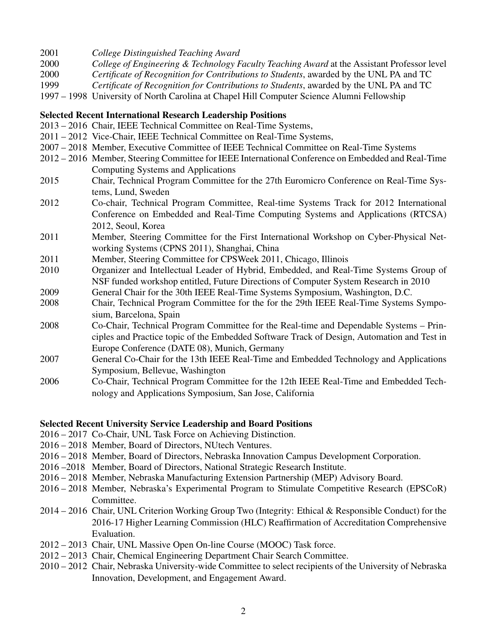- 2001 *College Distinguished Teaching Award*
- 2000 *College of Engineering & Technology Faculty Teaching Award* at the Assistant Professor level
- 2000 *Certificate of Recognition for Contributions to Students*, awarded by the UNL PA and TC
- 1999 *Certificate of Recognition for Contributions to Students*, awarded by the UNL PA and TC
- 1997 1998 University of North Carolina at Chapel Hill Computer Science Alumni Fellowship

# Selected Recent International Research Leadership Positions

- 2013 2016 Chair, IEEE Technical Committee on Real-Time Systems,
- 2011 2012 Vice-Chair, IEEE Technical Committee on Real-Time Systems,
- 2007 2018 Member, Executive Committee of IEEE Technical Committee on Real-Time Systems
- 2012 2016 Member, Steering Committee for IEEE International Conference on Embedded and Real-Time Computing Systems and Applications
- 2015 Chair, Technical Program Committee for the 27th Euromicro Conference on Real-Time Systems, Lund, Sweden
- 2012 Co-chair, Technical Program Committee, Real-time Systems Track for 2012 International Conference on Embedded and Real-Time Computing Systems and Applications (RTCSA) 2012, Seoul, Korea
- 2011 Member, Steering Committee for the First International Workshop on Cyber-Physical Networking Systems (CPNS 2011), Shanghai, China
- 2011 Member, Steering Committee for CPSWeek 2011, Chicago, Illinois
- 2010 Organizer and Intellectual Leader of Hybrid, Embedded, and Real-Time Systems Group of NSF funded workshop entitled, Future Directions of Computer System Research in 2010
- 2009 General Chair for the 30th IEEE Real-Time Systems Symposium, Washington, D.C.
- 2008 Chair, Technical Program Committee for the for the 29th IEEE Real-Time Systems Symposium, Barcelona, Spain
- 2008 Co-Chair, Technical Program Committee for the Real-time and Dependable Systems Principles and Practice topic of the Embedded Software Track of Design, Automation and Test in Europe Conference (DATE 08), Munich, Germany
- 2007 General Co-Chair for the 13th IEEE Real-Time and Embedded Technology and Applications Symposium, Bellevue, Washington
- 2006 Co-Chair, Technical Program Committee for the 12th IEEE Real-Time and Embedded Technology and Applications Symposium, San Jose, California

# Selected Recent University Service Leadership and Board Positions

- 2016 2017 Co-Chair, UNL Task Force on Achieving Distinction.
- 2016 2018 Member, Board of Directors, NUtech Ventures.
- 2016 2018 Member, Board of Directors, Nebraska Innovation Campus Development Corporation.
- 2016 –2018 Member, Board of Directors, National Strategic Research Institute.
- 2016 2018 Member, Nebraska Manufacturing Extension Partnership (MEP) Advisory Board.
- 2016 2018 Member, Nebraska's Experimental Program to Stimulate Competitive Research (EPSCoR) Committee.
- 2014 2016 Chair, UNL Criterion Working Group Two (Integrity: Ethical & Responsible Conduct) for the 2016-17 Higher Learning Commission (HLC) Reaffirmation of Accreditation Comprehensive Evaluation.
- 2012 2013 Chair, UNL Massive Open On-line Course (MOOC) Task force.
- 2012 2013 Chair, Chemical Engineering Department Chair Search Committee.
- 2010 2012 Chair, Nebraska University-wide Committee to select recipients of the University of Nebraska Innovation, Development, and Engagement Award.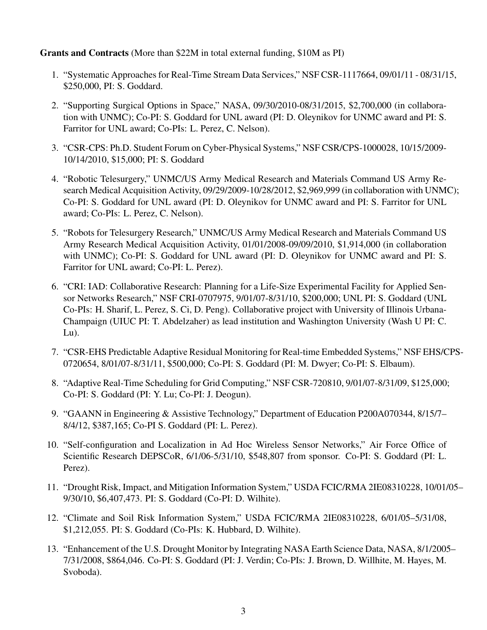Grants and Contracts (More than \$22M in total external funding, \$10M as PI)

- 1. "Systematic Approaches for Real-Time Stream Data Services," NSF CSR-1117664, 09/01/11 08/31/15, \$250,000, PI: S. Goddard.
- 2. "Supporting Surgical Options in Space," NASA, 09/30/2010-08/31/2015, \$2,700,000 (in collaboration with UNMC); Co-PI: S. Goddard for UNL award (PI: D. Oleynikov for UNMC award and PI: S. Farritor for UNL award; Co-PIs: L. Perez, C. Nelson).
- 3. "CSR-CPS: Ph.D. Student Forum on Cyber-Physical Systems," NSF CSR/CPS-1000028, 10/15/2009- 10/14/2010, \$15,000; PI: S. Goddard
- 4. "Robotic Telesurgery," UNMC/US Army Medical Research and Materials Command US Army Research Medical Acquisition Activity, 09/29/2009-10/28/2012, \$2,969,999 (in collaboration with UNMC); Co-PI: S. Goddard for UNL award (PI: D. Oleynikov for UNMC award and PI: S. Farritor for UNL award; Co-PIs: L. Perez, C. Nelson).
- 5. "Robots for Telesurgery Research," UNMC/US Army Medical Research and Materials Command US Army Research Medical Acquisition Activity, 01/01/2008-09/09/2010, \$1,914,000 (in collaboration with UNMC); Co-PI: S. Goddard for UNL award (PI: D. Oleynikov for UNMC award and PI: S. Farritor for UNL award; Co-PI: L. Perez).
- 6. "CRI: IAD: Collaborative Research: Planning for a Life-Size Experimental Facility for Applied Sensor Networks Research," NSF CRI-0707975, 9/01/07-8/31/10, \$200,000; UNL PI: S. Goddard (UNL Co-PIs: H. Sharif, L. Perez, S. Ci, D. Peng). Collaborative project with University of Illinois Urbana-Champaign (UIUC PI: T. Abdelzaher) as lead institution and Washington University (Wash U PI: C. Lu).
- 7. "CSR-EHS Predictable Adaptive Residual Monitoring for Real-time Embedded Systems," NSF EHS/CPS-0720654, 8/01/07-8/31/11, \$500,000; Co-PI: S. Goddard (PI: M. Dwyer; Co-PI: S. Elbaum).
- 8. "Adaptive Real-Time Scheduling for Grid Computing," NSF CSR-720810, 9/01/07-8/31/09, \$125,000; Co-PI: S. Goddard (PI: Y. Lu; Co-PI: J. Deogun).
- 9. "GAANN in Engineering & Assistive Technology," Department of Education P200A070344, 8/15/7– 8/4/12, \$387,165; Co-PI S. Goddard (PI: L. Perez).
- 10. "Self-configuration and Localization in Ad Hoc Wireless Sensor Networks," Air Force Office of Scientific Research DEPSCoR, 6/1/06-5/31/10, \$548,807 from sponsor. Co-PI: S. Goddard (PI: L. Perez).
- 11. "Drought Risk, Impact, and Mitigation Information System," USDA FCIC/RMA 2IE08310228, 10/01/05– 9/30/10, \$6,407,473. PI: S. Goddard (Co-PI: D. Wilhite).
- 12. "Climate and Soil Risk Information System," USDA FCIC/RMA 2IE08310228, 6/01/05–5/31/08, \$1,212,055. PI: S. Goddard (Co-PIs: K. Hubbard, D. Wilhite).
- 13. "Enhancement of the U.S. Drought Monitor by Integrating NASA Earth Science Data, NASA, 8/1/2005– 7/31/2008, \$864,046. Co-PI: S. Goddard (PI: J. Verdin; Co-PIs: J. Brown, D. Willhite, M. Hayes, M. Svoboda).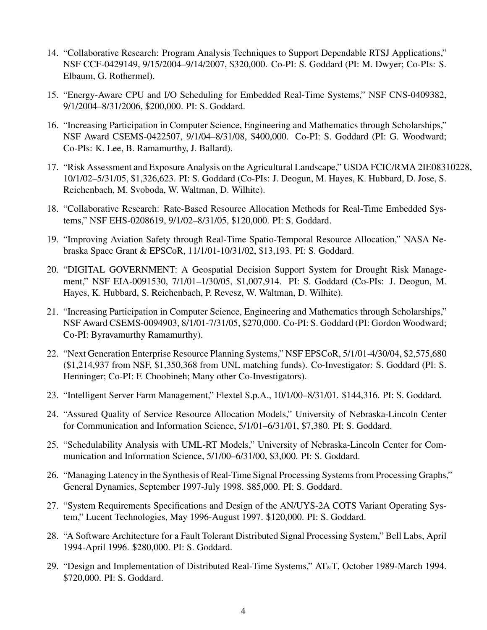- 14. "Collaborative Research: Program Analysis Techniques to Support Dependable RTSJ Applications," NSF CCF-0429149, 9/15/2004–9/14/2007, \$320,000. Co-PI: S. Goddard (PI: M. Dwyer; Co-PIs: S. Elbaum, G. Rothermel).
- 15. "Energy-Aware CPU and I/O Scheduling for Embedded Real-Time Systems," NSF CNS-0409382, 9/1/2004–8/31/2006, \$200,000. PI: S. Goddard.
- 16. "Increasing Participation in Computer Science, Engineering and Mathematics through Scholarships," NSF Award CSEMS-0422507, 9/1/04–8/31/08, \$400,000. Co-PI: S. Goddard (PI: G. Woodward; Co-PIs: K. Lee, B. Ramamurthy, J. Ballard).
- 17. "Risk Assessment and Exposure Analysis on the Agricultural Landscape," USDA FCIC/RMA 2IE08310228, 10/1/02–5/31/05, \$1,326,623. PI: S. Goddard (Co-PIs: J. Deogun, M. Hayes, K. Hubbard, D. Jose, S. Reichenbach, M. Svoboda, W. Waltman, D. Wilhite).
- 18. "Collaborative Research: Rate-Based Resource Allocation Methods for Real-Time Embedded Systems," NSF EHS-0208619, 9/1/02–8/31/05, \$120,000. PI: S. Goddard.
- 19. "Improving Aviation Safety through Real-Time Spatio-Temporal Resource Allocation," NASA Nebraska Space Grant & EPSCoR, 11/1/01-10/31/02, \$13,193. PI: S. Goddard.
- 20. "DIGITAL GOVERNMENT: A Geospatial Decision Support System for Drought Risk Management," NSF EIA-0091530, 7/1/01–1/30/05, \$1,007,914. PI: S. Goddard (Co-PIs: J. Deogun, M. Hayes, K. Hubbard, S. Reichenbach, P. Revesz, W. Waltman, D. Wilhite).
- 21. "Increasing Participation in Computer Science, Engineering and Mathematics through Scholarships," NSF Award CSEMS-0094903, 8/1/01-7/31/05, \$270,000. Co-PI: S. Goddard (PI: Gordon Woodward; Co-PI: Byravamurthy Ramamurthy).
- 22. "Next Generation Enterprise Resource Planning Systems," NSF EPSCoR, 5/1/01-4/30/04, \$2,575,680 (\$1,214,937 from NSF, \$1,350,368 from UNL matching funds). Co-Investigator: S. Goddard (PI: S. Henninger; Co-PI: F. Choobineh; Many other Co-Investigators).
- 23. "Intelligent Server Farm Management," Flextel S.p.A., 10/1/00–8/31/01. \$144,316. PI: S. Goddard.
- 24. "Assured Quality of Service Resource Allocation Models," University of Nebraska-Lincoln Center for Communication and Information Science, 5/1/01–6/31/01, \$7,380. PI: S. Goddard.
- 25. "Schedulability Analysis with UML-RT Models," University of Nebraska-Lincoln Center for Communication and Information Science, 5/1/00–6/31/00, \$3,000. PI: S. Goddard.
- 26. "Managing Latency in the Synthesis of Real-Time Signal Processing Systems from Processing Graphs," General Dynamics, September 1997-July 1998. \$85,000. PI: S. Goddard.
- 27. "System Requirements Specifications and Design of the AN/UYS-2A COTS Variant Operating System," Lucent Technologies, May 1996-August 1997. \$120,000. PI: S. Goddard.
- 28. "A Software Architecture for a Fault Tolerant Distributed Signal Processing System," Bell Labs, April 1994-April 1996. \$280,000. PI: S. Goddard.
- 29. "Design and Implementation of Distributed Real-Time Systems," AT&T, October 1989-March 1994. \$720,000. PI: S. Goddard.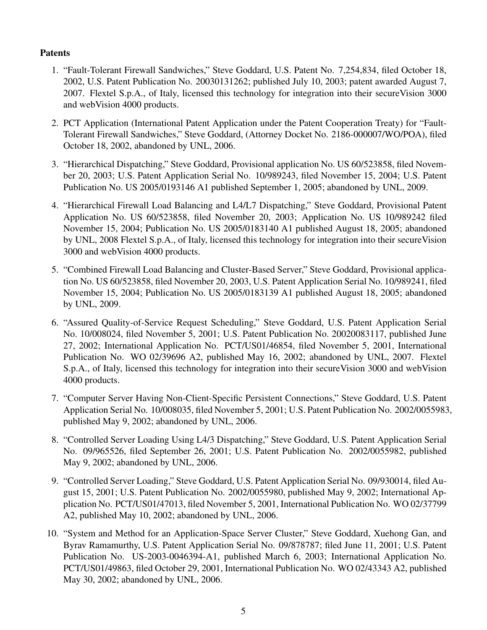# Patents

- 1. "Fault-Tolerant Firewall Sandwiches," Steve Goddard, U.S. Patent No. 7,254,834, filed October 18, 2002, U.S. Patent Publication No. 20030131262; published July 10, 2003; patent awarded August 7, 2007. Flextel S.p.A., of Italy, licensed this technology for integration into their secureVision 3000 and webVision 4000 products.
- 2. PCT Application (International Patent Application under the Patent Cooperation Treaty) for "Fault-Tolerant Firewall Sandwiches," Steve Goddard, (Attorney Docket No. 2186-000007/WO/POA), filed October 18, 2002, abandoned by UNL, 2006.
- 3. "Hierarchical Dispatching," Steve Goddard, Provisional application No. US 60/523858, filed November 20, 2003; U.S. Patent Application Serial No. 10/989243, filed November 15, 2004; U.S. Patent Publication No. US 2005/0193146 A1 published September 1, 2005; abandoned by UNL, 2009.
- 4. "Hierarchical Firewall Load Balancing and L4/L7 Dispatching," Steve Goddard, Provisional Patent Application No. US 60/523858, filed November 20, 2003; Application No. US 10/989242 filed November 15, 2004; Publication No. US 2005/0183140 A1 published August 18, 2005; abandoned by UNL, 2008 Flextel S.p.A., of Italy, licensed this technology for integration into their secureVision 3000 and webVision 4000 products.
- 5. "Combined Firewall Load Balancing and Cluster-Based Server," Steve Goddard, Provisional application No. US 60/523858, filed November 20, 2003, U.S. Patent Application Serial No. 10/989241, filed November 15, 2004; Publication No. US 2005/0183139 A1 published August 18, 2005; abandoned by UNL, 2009.
- 6. "Assured Quality-of-Service Request Scheduling," Steve Goddard, U.S. Patent Application Serial No. 10/008024, filed November 5, 2001; U.S. Patent Publication No. 20020083117, published June 27, 2002; International Application No. PCT/US01/46854, filed November 5, 2001, International Publication No. WO 02/39696 A2, published May 16, 2002; abandoned by UNL, 2007. Flextel S.p.A., of Italy, licensed this technology for integration into their secureVision 3000 and webVision 4000 products.
- 7. "Computer Server Having Non-Client-Specific Persistent Connections," Steve Goddard, U.S. Patent Application Serial No. 10/008035, filed November 5, 2001; U.S. Patent Publication No. 2002/0055983, published May 9, 2002; abandoned by UNL, 2006.
- 8. "Controlled Server Loading Using L4/3 Dispatching," Steve Goddard, U.S. Patent Application Serial No. 09/965526, filed September 26, 2001; U.S. Patent Publication No. 2002/0055982, published May 9, 2002; abandoned by UNL, 2006.
- 9. "Controlled Server Loading," Steve Goddard, U.S. Patent Application Serial No. 09/930014, filed August 15, 2001; U.S. Patent Publication No. 2002/0055980, published May 9, 2002; International Application No. PCT/US01/47013, filed November 5, 2001, International Publication No. WO 02/37799 A2, published May 10, 2002; abandoned by UNL, 2006.
- 10. "System and Method for an Application-Space Server Cluster," Steve Goddard, Xuehong Gan, and Byrav Ramamurthy, U.S. Patent Application Serial No. 09/878787; filed June 11, 2001; U.S. Patent Publication No. US-2003-0046394-A1, published March 6, 2003; International Application No. PCT/US01/49863, filed October 29, 2001, International Publication No. WO 02/43343 A2, published May 30, 2002; abandoned by UNL, 2006.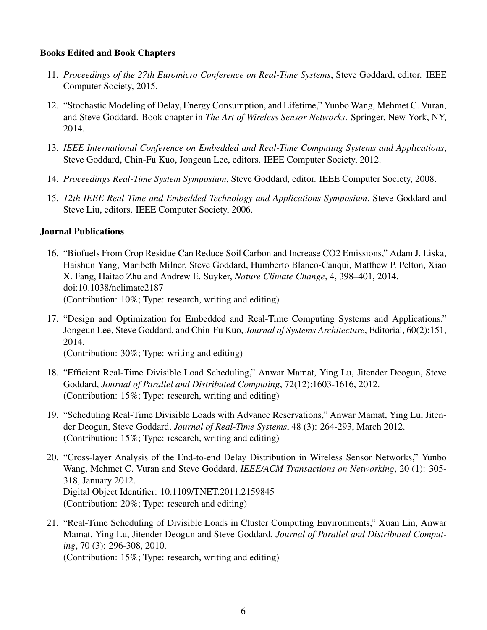# Books Edited and Book Chapters

- 11. *Proceedings of the 27th Euromicro Conference on Real-Time Systems*, Steve Goddard, editor. IEEE Computer Society, 2015.
- 12. "Stochastic Modeling of Delay, Energy Consumption, and Lifetime," Yunbo Wang, Mehmet C. Vuran, and Steve Goddard. Book chapter in *The Art of Wireless Sensor Networks*. Springer, New York, NY, 2014.
- 13. *IEEE International Conference on Embedded and Real-Time Computing Systems and Applications*, Steve Goddard, Chin-Fu Kuo, Jongeun Lee, editors. IEEE Computer Society, 2012.
- 14. *Proceedings Real-Time System Symposium*, Steve Goddard, editor. IEEE Computer Society, 2008.
- 15. *12th IEEE Real-Time and Embedded Technology and Applications Symposium*, Steve Goddard and Steve Liu, editors. IEEE Computer Society, 2006.

# Journal Publications

- 16. "Biofuels From Crop Residue Can Reduce Soil Carbon and Increase CO2 Emissions," Adam J. Liska, Haishun Yang, Maribeth Milner, Steve Goddard, Humberto Blanco-Canqui, Matthew P. Pelton, Xiao X. Fang, Haitao Zhu and Andrew E. Suyker, *Nature Climate Change*, 4, 398–401, 2014. doi:10.1038/nclimate2187 (Contribution: 10%; Type: research, writing and editing)
- 17. "Design and Optimization for Embedded and Real-Time Computing Systems and Applications," Jongeun Lee, Steve Goddard, and Chin-Fu Kuo, *Journal of Systems Architecture*, Editorial, 60(2):151, 2014.

(Contribution: 30%; Type: writing and editing)

- 18. "Efficient Real-Time Divisible Load Scheduling," Anwar Mamat, Ying Lu, Jitender Deogun, Steve Goddard, *Journal of Parallel and Distributed Computing*, 72(12):1603-1616, 2012. (Contribution: 15%; Type: research, writing and editing)
- 19. "Scheduling Real-Time Divisible Loads with Advance Reservations," Anwar Mamat, Ying Lu, Jitender Deogun, Steve Goddard, *Journal of Real-Time Systems*, 48 (3): 264-293, March 2012. (Contribution: 15%; Type: research, writing and editing)
- 20. "Cross-layer Analysis of the End-to-end Delay Distribution in Wireless Sensor Networks," Yunbo Wang, Mehmet C. Vuran and Steve Goddard, *IEEE/ACM Transactions on Networking*, 20 (1): 305- 318, January 2012. Digital Object Identifier: 10.1109/TNET.2011.2159845 (Contribution: 20%; Type: research and editing)
- 21. "Real-Time Scheduling of Divisible Loads in Cluster Computing Environments," Xuan Lin, Anwar Mamat, Ying Lu, Jitender Deogun and Steve Goddard, *Journal of Parallel and Distributed Computing*, 70 (3): 296-308, 2010. (Contribution: 15%; Type: research, writing and editing)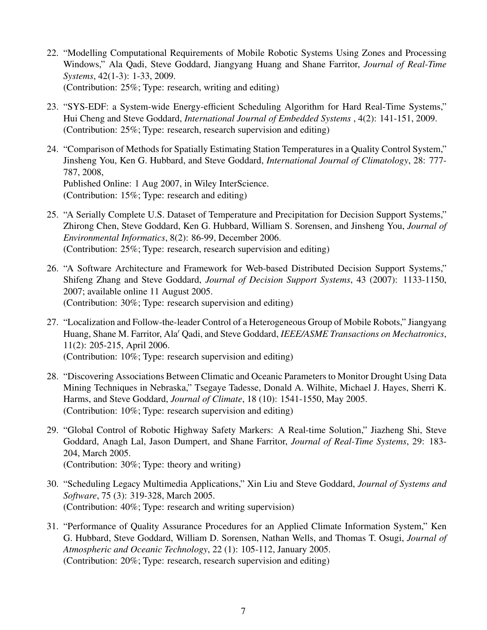- 22. "Modelling Computational Requirements of Mobile Robotic Systems Using Zones and Processing Windows," Ala Qadi, Steve Goddard, Jiangyang Huang and Shane Farritor, *Journal of Real-Time Systems*, 42(1-3): 1-33, 2009. (Contribution: 25%; Type: research, writing and editing)
- 23. "SYS-EDF: a System-wide Energy-efficient Scheduling Algorithm for Hard Real-Time Systems," Hui Cheng and Steve Goddard, *International Journal of Embedded Systems* , 4(2): 141-151, 2009. (Contribution: 25%; Type: research, research supervision and editing)
- 24. "Comparison of Methods for Spatially Estimating Station Temperatures in a Quality Control System," Jinsheng You, Ken G. Hubbard, and Steve Goddard, *International Journal of Climatology*, 28: 777- 787, 2008, Published Online: 1 Aug 2007, in Wiley InterScience. (Contribution: 15%; Type: research and editing)
- 25. "A Serially Complete U.S. Dataset of Temperature and Precipitation for Decision Support Systems," Zhirong Chen, Steve Goddard, Ken G. Hubbard, William S. Sorensen, and Jinsheng You, *Journal of Environmental Informatics*, 8(2): 86-99, December 2006. (Contribution: 25%; Type: research, research supervision and editing)
- 26. "A Software Architecture and Framework for Web-based Distributed Decision Support Systems," Shifeng Zhang and Steve Goddard, *Journal of Decision Support Systems*, 43 (2007): 1133-1150, 2007; available online 11 August 2005. (Contribution: 30%; Type: research supervision and editing)
- 27. "Localization and Follow-the-leader Control of a Heterogeneous Group of Mobile Robots," Jiangyang Huang, Shane M. Farritor, Ala<sup>'</sup> Qadi, and Steve Goddard, *IEEE/ASME Transactions on Mechatronics*, 11(2): 205-215, April 2006. (Contribution: 10%; Type: research supervision and editing)
- 28. "Discovering Associations Between Climatic and Oceanic Parameters to Monitor Drought Using Data Mining Techniques in Nebraska," Tsegaye Tadesse, Donald A. Wilhite, Michael J. Hayes, Sherri K. Harms, and Steve Goddard, *Journal of Climate*, 18 (10): 1541-1550, May 2005. (Contribution: 10%; Type: research supervision and editing)
- 29. "Global Control of Robotic Highway Safety Markers: A Real-time Solution," Jiazheng Shi, Steve Goddard, Anagh Lal, Jason Dumpert, and Shane Farritor, *Journal of Real-Time Systems*, 29: 183- 204, March 2005. (Contribution: 30%; Type: theory and writing)
- 30. "Scheduling Legacy Multimedia Applications," Xin Liu and Steve Goddard, *Journal of Systems and Software*, 75 (3): 319-328, March 2005. (Contribution: 40%; Type: research and writing supervision)
- 31. "Performance of Quality Assurance Procedures for an Applied Climate Information System," Ken G. Hubbard, Steve Goddard, William D. Sorensen, Nathan Wells, and Thomas T. Osugi, *Journal of Atmospheric and Oceanic Technology*, 22 (1): 105-112, January 2005.

(Contribution: 20%; Type: research, research supervision and editing)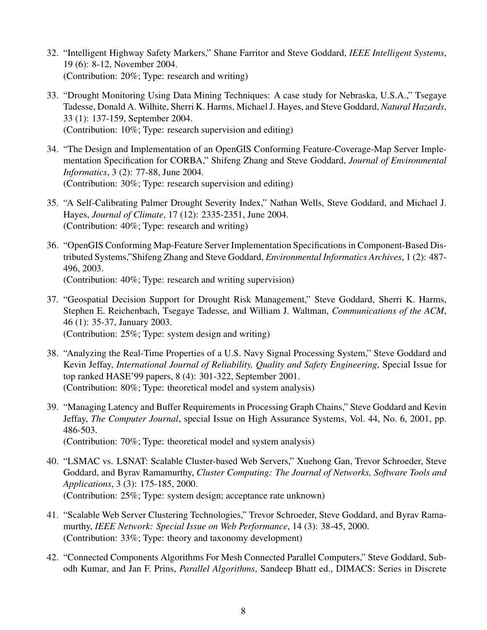- 32. "Intelligent Highway Safety Markers," Shane Farritor and Steve Goddard, *IEEE Intelligent Systems*, 19 (6): 8-12, November 2004. (Contribution: 20%; Type: research and writing)
- 33. "Drought Monitoring Using Data Mining Techniques: A case study for Nebraska, U.S.A.," Tsegaye Tadesse, Donald A. Wilhite, Sherri K. Harms, Michael J. Hayes, and Steve Goddard, *Natural Hazards*, 33 (1): 137-159, September 2004. (Contribution: 10%; Type: research supervision and editing)
- 34. "The Design and Implementation of an OpenGIS Conforming Feature-Coverage-Map Server Implementation Specification for CORBA," Shifeng Zhang and Steve Goddard, *Journal of Environmental Informatics*, 3 (2): 77-88, June 2004. (Contribution: 30%; Type: research supervision and editing)
- 35. "A Self-Calibrating Palmer Drought Severity Index," Nathan Wells, Steve Goddard, and Michael J. Hayes, *Journal of Climate*, 17 (12): 2335-2351, June 2004. (Contribution: 40%; Type: research and writing)
- 36. "OpenGIS Conforming Map-Feature Server Implementation Specifications in Component-Based Distributed Systems,"Shifeng Zhang and Steve Goddard, *Environmental Informatics Archives*, 1 (2): 487- 496, 2003. (Contribution: 40%; Type: research and writing supervision)
- 37. "Geospatial Decision Support for Drought Risk Management," Steve Goddard, Sherri K. Harms, Stephen E. Reichenbach, Tsegaye Tadesse, and William J. Waltman, *Communications of the ACM*, 46 (1): 35-37, January 2003. (Contribution: 25%; Type: system design and writing)
- 38. "Analyzing the Real-Time Properties of a U.S. Navy Signal Processing System," Steve Goddard and Kevin Jeffay, *International Journal of Reliability, Quality and Safety Engineering*, Special Issue for top ranked HASE'99 papers, 8 (4): 301-322, September 2001. (Contribution: 80%; Type: theoretical model and system analysis)
- 39. "Managing Latency and Buffer Requirements in Processing Graph Chains," Steve Goddard and Kevin Jeffay, *The Computer Journal*, special Issue on High Assurance Systems, Vol. 44, No. 6, 2001, pp. 486-503.

(Contribution: 70%; Type: theoretical model and system analysis)

- 40. "LSMAC vs. LSNAT: Scalable Cluster-based Web Servers," Xuehong Gan, Trevor Schroeder, Steve Goddard, and Byrav Ramamurthy, *Cluster Computing: The Journal of Networks, Software Tools and Applications*, 3 (3): 175-185, 2000. (Contribution: 25%; Type: system design; acceptance rate unknown)
- 41. "Scalable Web Server Clustering Technologies," Trevor Schroeder, Steve Goddard, and Byrav Ramamurthy, *IEEE Network: Special Issue on Web Performance*, 14 (3): 38-45, 2000. (Contribution: 33%; Type: theory and taxonomy development)
- 42. "Connected Components Algorithms For Mesh Connected Parallel Computers," Steve Goddard, Subodh Kumar, and Jan F. Prins, *Parallel Algorithms*, Sandeep Bhatt ed., DIMACS: Series in Discrete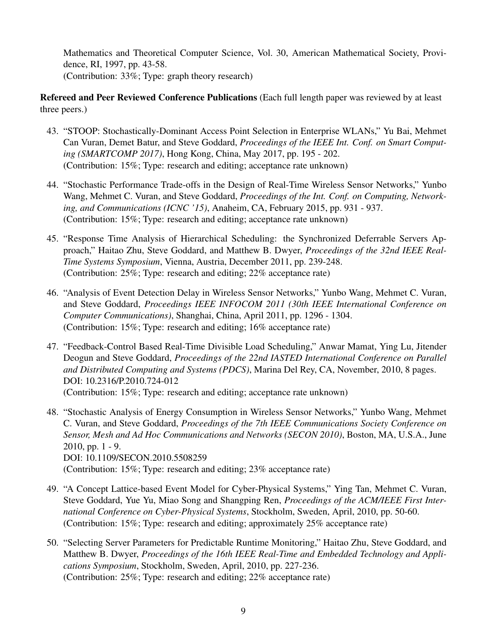Mathematics and Theoretical Computer Science, Vol. 30, American Mathematical Society, Providence, RI, 1997, pp. 43-58. (Contribution: 33%; Type: graph theory research)

Refereed and Peer Reviewed Conference Publications (Each full length paper was reviewed by at least three peers.)

- 43. "STOOP: Stochastically-Dominant Access Point Selection in Enterprise WLANs," Yu Bai, Mehmet Can Vuran, Demet Batur, and Steve Goddard, *Proceedings of the IEEE Int. Conf. on Smart Computing (SMARTCOMP 2017)*, Hong Kong, China, May 2017, pp. 195 - 202. (Contribution: 15%; Type: research and editing; acceptance rate unknown)
- 44. "Stochastic Performance Trade-offs in the Design of Real-Time Wireless Sensor Networks," Yunbo Wang, Mehmet C. Vuran, and Steve Goddard, *Proceedings of the Int. Conf. on Computing, Networking, and Communications (ICNC '15)*, Anaheim, CA, February 2015, pp. 931 - 937. (Contribution: 15%; Type: research and editing; acceptance rate unknown)
- 45. "Response Time Analysis of Hierarchical Scheduling: the Synchronized Deferrable Servers Approach," Haitao Zhu, Steve Goddard, and Matthew B. Dwyer, *Proceedings of the 32nd IEEE Real-Time Systems Symposium*, Vienna, Austria, December 2011, pp. 239-248. (Contribution: 25%; Type: research and editing; 22% acceptance rate)
- 46. "Analysis of Event Detection Delay in Wireless Sensor Networks," Yunbo Wang, Mehmet C. Vuran, and Steve Goddard, *Proceedings IEEE INFOCOM 2011 (30th IEEE International Conference on Computer Communications)*, Shanghai, China, April 2011, pp. 1296 - 1304. (Contribution: 15%; Type: research and editing; 16% acceptance rate)
- 47. "Feedback-Control Based Real-Time Divisible Load Scheduling," Anwar Mamat, Ying Lu, Jitender Deogun and Steve Goddard, *Proceedings of the 22nd IASTED International Conference on Parallel and Distributed Computing and Systems (PDCS)*, Marina Del Rey, CA, November, 2010, 8 pages. DOI: 10.2316/P.2010.724-012 (Contribution: 15%; Type: research and editing; acceptance rate unknown)
- 48. "Stochastic Analysis of Energy Consumption in Wireless Sensor Networks," Yunbo Wang, Mehmet C. Vuran, and Steve Goddard, *Proceedings of the 7th IEEE Communications Society Conference on Sensor, Mesh and Ad Hoc Communications and Networks (SECON 2010)*, Boston, MA, U.S.A., June 2010, pp. 1 - 9. DOI: 10.1109/SECON.2010.5508259 (Contribution: 15%; Type: research and editing; 23% acceptance rate)
- 49. "A Concept Lattice-based Event Model for Cyber-Physical Systems," Ying Tan, Mehmet C. Vuran, Steve Goddard, Yue Yu, Miao Song and Shangping Ren, *Proceedings of the ACM/IEEE First International Conference on Cyber-Physical Systems*, Stockholm, Sweden, April, 2010, pp. 50-60. (Contribution: 15%; Type: research and editing; approximately 25% acceptance rate)
- 50. "Selecting Server Parameters for Predictable Runtime Monitoring," Haitao Zhu, Steve Goddard, and Matthew B. Dwyer, *Proceedings of the 16th IEEE Real-Time and Embedded Technology and Applications Symposium*, Stockholm, Sweden, April, 2010, pp. 227-236. (Contribution: 25%; Type: research and editing; 22% acceptance rate)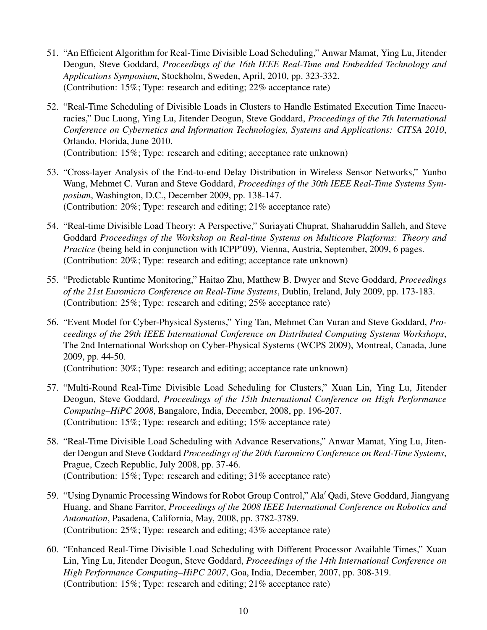- 51. "An Efficient Algorithm for Real-Time Divisible Load Scheduling," Anwar Mamat, Ying Lu, Jitender Deogun, Steve Goddard, *Proceedings of the 16th IEEE Real-Time and Embedded Technology and Applications Symposium*, Stockholm, Sweden, April, 2010, pp. 323-332. (Contribution: 15%; Type: research and editing; 22% acceptance rate)
- 52. "Real-Time Scheduling of Divisible Loads in Clusters to Handle Estimated Execution Time Inaccuracies," Duc Luong, Ying Lu, Jitender Deogun, Steve Goddard, *Proceedings of the 7th International Conference on Cybernetics and Information Technologies, Systems and Applications: CITSA 2010*, Orlando, Florida, June 2010.

(Contribution: 15%; Type: research and editing; acceptance rate unknown)

- 53. "Cross-layer Analysis of the End-to-end Delay Distribution in Wireless Sensor Networks," Yunbo Wang, Mehmet C. Vuran and Steve Goddard, *Proceedings of the 30th IEEE Real-Time Systems Symposium*, Washington, D.C., December 2009, pp. 138-147. (Contribution: 20%; Type: research and editing; 21% acceptance rate)
- 54. "Real-time Divisible Load Theory: A Perspective," Suriayati Chuprat, Shaharuddin Salleh, and Steve Goddard *Proceedings of the Workshop on Real-time Systems on Multicore Platforms: Theory and Practice* (being held in conjunction with ICPP'09), Vienna, Austria, September, 2009, 6 pages. (Contribution: 20%; Type: research and editing; acceptance rate unknown)
- 55. "Predictable Runtime Monitoring," Haitao Zhu, Matthew B. Dwyer and Steve Goddard, *Proceedings of the 21st Euromicro Conference on Real-Time Systems*, Dublin, Ireland, July 2009, pp. 173-183. (Contribution: 25%; Type: research and editing; 25% acceptance rate)
- 56. "Event Model for Cyber-Physical Systems," Ying Tan, Mehmet Can Vuran and Steve Goddard, *Proceedings of the 29th IEEE International Conference on Distributed Computing Systems Workshops*, The 2nd International Workshop on Cyber-Physical Systems (WCPS 2009), Montreal, Canada, June 2009, pp. 44-50.

(Contribution: 30%; Type: research and editing; acceptance rate unknown)

- 57. "Multi-Round Real-Time Divisible Load Scheduling for Clusters," Xuan Lin, Ying Lu, Jitender Deogun, Steve Goddard, *Proceedings of the 15th International Conference on High Performance Computing–HiPC 2008*, Bangalore, India, December, 2008, pp. 196-207. (Contribution: 15%; Type: research and editing; 15% acceptance rate)
- 58. "Real-Time Divisible Load Scheduling with Advance Reservations," Anwar Mamat, Ying Lu, Jitender Deogun and Steve Goddard *Proceedings of the 20th Euromicro Conference on Real-Time Systems*, Prague, Czech Republic, July 2008, pp. 37-46. (Contribution: 15%; Type: research and editing; 31% acceptance rate)
- 59. "Using Dynamic Processing Windows for Robot Group Control," Ala' Qadi, Steve Goddard, Jiangyang Huang, and Shane Farritor, *Proceedings of the 2008 IEEE International Conference on Robotics and Automation*, Pasadena, California, May, 2008, pp. 3782-3789. (Contribution: 25%; Type: research and editing; 43% acceptance rate)
- 60. "Enhanced Real-Time Divisible Load Scheduling with Different Processor Available Times," Xuan Lin, Ying Lu, Jitender Deogun, Steve Goddard, *Proceedings of the 14th International Conference on High Performance Computing–HiPC 2007*, Goa, India, December, 2007, pp. 308-319. (Contribution: 15%; Type: research and editing; 21% acceptance rate)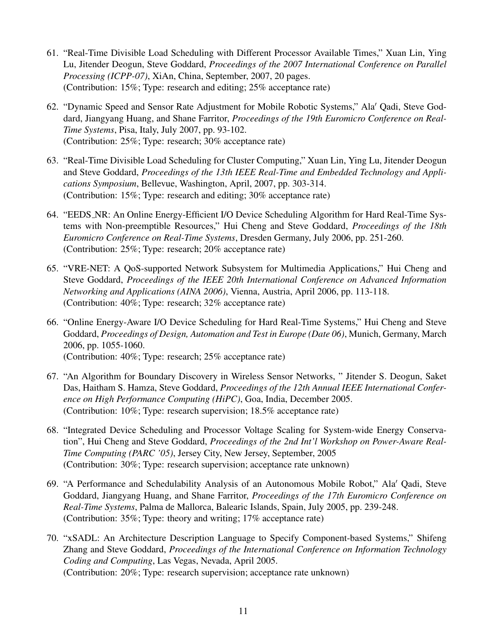- 61. "Real-Time Divisible Load Scheduling with Different Processor Available Times," Xuan Lin, Ying Lu, Jitender Deogun, Steve Goddard, *Proceedings of the 2007 International Conference on Parallel Processing (ICPP-07)*, XiAn, China, September, 2007, 20 pages. (Contribution: 15%; Type: research and editing; 25% acceptance rate)
- 62. "Dynamic Speed and Sensor Rate Adjustment for Mobile Robotic Systems," Ala' Qadi, Steve Goddard, Jiangyang Huang, and Shane Farritor, *Proceedings of the 19th Euromicro Conference on Real-Time Systems*, Pisa, Italy, July 2007, pp. 93-102. (Contribution: 25%; Type: research; 30% acceptance rate)
- 63. "Real-Time Divisible Load Scheduling for Cluster Computing," Xuan Lin, Ying Lu, Jitender Deogun and Steve Goddard, *Proceedings of the 13th IEEE Real-Time and Embedded Technology and Applications Symposium*, Bellevue, Washington, April, 2007, pp. 303-314. (Contribution: 15%; Type: research and editing; 30% acceptance rate)
- 64. "EEDS NR: An Online Energy-Efficient I/O Device Scheduling Algorithm for Hard Real-Time Systems with Non-preemptible Resources," Hui Cheng and Steve Goddard, *Proceedings of the 18th Euromicro Conference on Real-Time Systems*, Dresden Germany, July 2006, pp. 251-260. (Contribution: 25%; Type: research; 20% acceptance rate)
- 65. "VRE-NET: A QoS-supported Network Subsystem for Multimedia Applications," Hui Cheng and Steve Goddard, *Proceedings of the IEEE 20th International Conference on Advanced Information Networking and Applications (AINA 2006)*, Vienna, Austria, April 2006, pp. 113-118. (Contribution: 40%; Type: research; 32% acceptance rate)
- 66. "Online Energy-Aware I/O Device Scheduling for Hard Real-Time Systems," Hui Cheng and Steve Goddard, *Proceedings of Design, Automation and Test in Europe (Date 06)*, Munich, Germany, March 2006, pp. 1055-1060. (Contribution: 40%; Type: research; 25% acceptance rate)
- 67. "An Algorithm for Boundary Discovery in Wireless Sensor Networks, " Jitender S. Deogun, Saket Das, Haitham S. Hamza, Steve Goddard, *Proceedings of the 12th Annual IEEE International Conference on High Performance Computing (HiPC)*, Goa, India, December 2005. (Contribution: 10%; Type: research supervision; 18.5% acceptance rate)
- 68. "Integrated Device Scheduling and Processor Voltage Scaling for System-wide Energy Conservation", Hui Cheng and Steve Goddard, *Proceedings of the 2nd Int'l Workshop on Power-Aware Real-Time Computing (PARC '05)*, Jersey City, New Jersey, September, 2005 (Contribution: 30%; Type: research supervision; acceptance rate unknown)
- 69. "A Performance and Schedulability Analysis of an Autonomous Mobile Robot," Ala' Qadi, Steve Goddard, Jiangyang Huang, and Shane Farritor, *Proceedings of the 17th Euromicro Conference on Real-Time Systems*, Palma de Mallorca, Balearic Islands, Spain, July 2005, pp. 239-248. (Contribution: 35%; Type: theory and writing; 17% acceptance rate)
- 70. "xSADL: An Architecture Description Language to Specify Component-based Systems," Shifeng Zhang and Steve Goddard, *Proceedings of the International Conference on Information Technology Coding and Computing*, Las Vegas, Nevada, April 2005. (Contribution: 20%; Type: research supervision; acceptance rate unknown)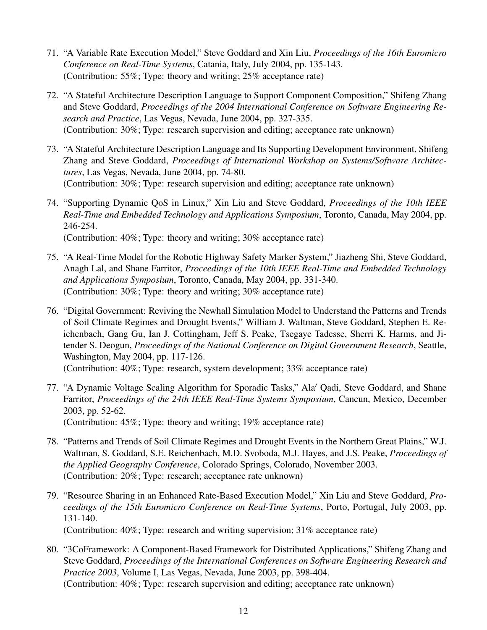- 71. "A Variable Rate Execution Model," Steve Goddard and Xin Liu, *Proceedings of the 16th Euromicro Conference on Real-Time Systems*, Catania, Italy, July 2004, pp. 135-143. (Contribution: 55%; Type: theory and writing; 25% acceptance rate)
- 72. "A Stateful Architecture Description Language to Support Component Composition," Shifeng Zhang and Steve Goddard, *Proceedings of the 2004 International Conference on Software Engineering Research and Practice*, Las Vegas, Nevada, June 2004, pp. 327-335. (Contribution: 30%; Type: research supervision and editing; acceptance rate unknown)
- 73. "A Stateful Architecture Description Language and Its Supporting Development Environment, Shifeng Zhang and Steve Goddard, *Proceedings of International Workshop on Systems/Software Architectures*, Las Vegas, Nevada, June 2004, pp. 74-80. (Contribution: 30%; Type: research supervision and editing; acceptance rate unknown)
- 74. "Supporting Dynamic QoS in Linux," Xin Liu and Steve Goddard, *Proceedings of the 10th IEEE Real-Time and Embedded Technology and Applications Symposium*, Toronto, Canada, May 2004, pp. 246-254. (Contribution: 40%; Type: theory and writing; 30% acceptance rate)

- 75. "A Real-Time Model for the Robotic Highway Safety Marker System," Jiazheng Shi, Steve Goddard, Anagh Lal, and Shane Farritor, *Proceedings of the 10th IEEE Real-Time and Embedded Technology and Applications Symposium*, Toronto, Canada, May 2004, pp. 331-340. (Contribution: 30%; Type: theory and writing; 30% acceptance rate)
- 76. "Digital Government: Reviving the Newhall Simulation Model to Understand the Patterns and Trends of Soil Climate Regimes and Drought Events," William J. Waltman, Steve Goddard, Stephen E. Reichenbach, Gang Gu, Ian J. Cottingham, Jeff S. Peake, Tsegaye Tadesse, Sherri K. Harms, and Jitender S. Deogun, *Proceedings of the National Conference on Digital Government Research*, Seattle, Washington, May 2004, pp. 117-126.

(Contribution: 40%; Type: research, system development; 33% acceptance rate)

77. "A Dynamic Voltage Scaling Algorithm for Sporadic Tasks," Ala' Qadi, Steve Goddard, and Shane Farritor, *Proceedings of the 24th IEEE Real-Time Systems Symposium*, Cancun, Mexico, December 2003, pp. 52-62.

(Contribution: 45%; Type: theory and writing; 19% acceptance rate)

- 78. "Patterns and Trends of Soil Climate Regimes and Drought Events in the Northern Great Plains," W.J. Waltman, S. Goddard, S.E. Reichenbach, M.D. Svoboda, M.J. Hayes, and J.S. Peake, *Proceedings of the Applied Geography Conference*, Colorado Springs, Colorado, November 2003. (Contribution: 20%; Type: research; acceptance rate unknown)
- 79. "Resource Sharing in an Enhanced Rate-Based Execution Model," Xin Liu and Steve Goddard, *Proceedings of the 15th Euromicro Conference on Real-Time Systems*, Porto, Portugal, July 2003, pp. 131-140.

(Contribution: 40%; Type: research and writing supervision; 31% acceptance rate)

80. "3CoFramework: A Component-Based Framework for Distributed Applications," Shifeng Zhang and Steve Goddard, *Proceedings of the International Conferences on Software Engineering Research and Practice 2003*, Volume I, Las Vegas, Nevada, June 2003, pp. 398-404. (Contribution: 40%; Type: research supervision and editing; acceptance rate unknown)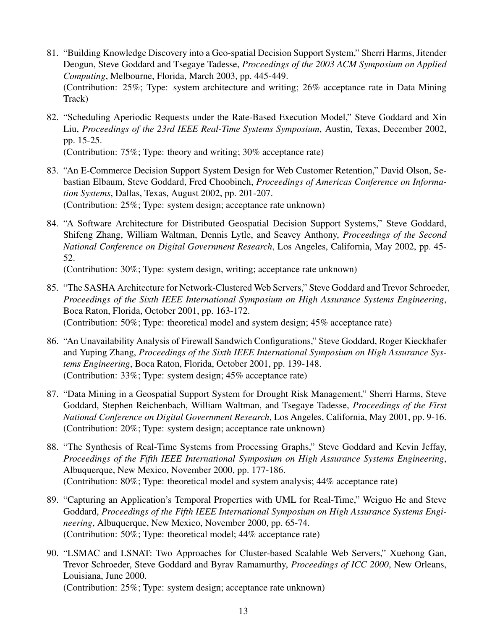- 81. "Building Knowledge Discovery into a Geo-spatial Decision Support System," Sherri Harms, Jitender Deogun, Steve Goddard and Tsegaye Tadesse, *Proceedings of the 2003 ACM Symposium on Applied Computing*, Melbourne, Florida, March 2003, pp. 445-449. (Contribution: 25%; Type: system architecture and writing; 26% acceptance rate in Data Mining Track)
- 82. "Scheduling Aperiodic Requests under the Rate-Based Execution Model," Steve Goddard and Xin Liu, *Proceedings of the 23rd IEEE Real-Time Systems Symposium*, Austin, Texas, December 2002, pp. 15-25.

(Contribution: 75%; Type: theory and writing; 30% acceptance rate)

- 83. "An E-Commerce Decision Support System Design for Web Customer Retention," David Olson, Sebastian Elbaum, Steve Goddard, Fred Choobineh, *Proceedings of Americas Conference on Information Systems*, Dallas, Texas, August 2002, pp. 201-207. (Contribution: 25%; Type: system design; acceptance rate unknown)
- 84. "A Software Architecture for Distributed Geospatial Decision Support Systems," Steve Goddard, Shifeng Zhang, William Waltman, Dennis Lytle, and Seavey Anthony, *Proceedings of the Second National Conference on Digital Government Research*, Los Angeles, California, May 2002, pp. 45- 52.

(Contribution: 30%; Type: system design, writing; acceptance rate unknown)

- 85. "The SASHA Architecture for Network-Clustered Web Servers," Steve Goddard and Trevor Schroeder, *Proceedings of the Sixth IEEE International Symposium on High Assurance Systems Engineering*, Boca Raton, Florida, October 2001, pp. 163-172. (Contribution: 50%; Type: theoretical model and system design; 45% acceptance rate)
- 86. "An Unavailability Analysis of Firewall Sandwich Configurations," Steve Goddard, Roger Kieckhafer and Yuping Zhang, *Proceedings of the Sixth IEEE International Symposium on High Assurance Systems Engineering*, Boca Raton, Florida, October 2001, pp. 139-148. (Contribution: 33%; Type: system design; 45% acceptance rate)
- 87. "Data Mining in a Geospatial Support System for Drought Risk Management," Sherri Harms, Steve Goddard, Stephen Reichenbach, William Waltman, and Tsegaye Tadesse, *Proceedings of the First National Conference on Digital Government Research*, Los Angeles, California, May 2001, pp. 9-16. (Contribution: 20%; Type: system design; acceptance rate unknown)
- 88. "The Synthesis of Real-Time Systems from Processing Graphs," Steve Goddard and Kevin Jeffay, *Proceedings of the Fifth IEEE International Symposium on High Assurance Systems Engineering*, Albuquerque, New Mexico, November 2000, pp. 177-186. (Contribution: 80%; Type: theoretical model and system analysis; 44% acceptance rate)
- 89. "Capturing an Application's Temporal Properties with UML for Real-Time," Weiguo He and Steve Goddard, *Proceedings of the Fifth IEEE International Symposium on High Assurance Systems Engineering*, Albuquerque, New Mexico, November 2000, pp. 65-74. (Contribution: 50%; Type: theoretical model; 44% acceptance rate)
- 90. "LSMAC and LSNAT: Two Approaches for Cluster-based Scalable Web Servers," Xuehong Gan, Trevor Schroeder, Steve Goddard and Byrav Ramamurthy, *Proceedings of ICC 2000*, New Orleans, Louisiana, June 2000. (Contribution: 25%; Type: system design; acceptance rate unknown)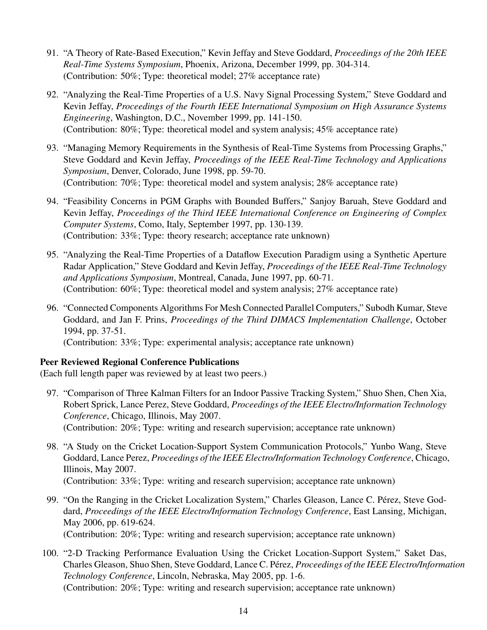- 91. "A Theory of Rate-Based Execution," Kevin Jeffay and Steve Goddard, *Proceedings of the 20th IEEE Real-Time Systems Symposium*, Phoenix, Arizona, December 1999, pp. 304-314. (Contribution: 50%; Type: theoretical model; 27% acceptance rate)
- 92. "Analyzing the Real-Time Properties of a U.S. Navy Signal Processing System," Steve Goddard and Kevin Jeffay, *Proceedings of the Fourth IEEE International Symposium on High Assurance Systems Engineering*, Washington, D.C., November 1999, pp. 141-150. (Contribution: 80%; Type: theoretical model and system analysis; 45% acceptance rate)
- 93. "Managing Memory Requirements in the Synthesis of Real-Time Systems from Processing Graphs," Steve Goddard and Kevin Jeffay, *Proceedings of the IEEE Real-Time Technology and Applications Symposium*, Denver, Colorado, June 1998, pp. 59-70. (Contribution: 70%; Type: theoretical model and system analysis; 28% acceptance rate)
- 94. "Feasibility Concerns in PGM Graphs with Bounded Buffers," Sanjoy Baruah, Steve Goddard and Kevin Jeffay, *Proceedings of the Third IEEE International Conference on Engineering of Complex Computer Systems*, Como, Italy, September 1997, pp. 130-139. (Contribution: 33%; Type: theory research; acceptance rate unknown)
- 95. "Analyzing the Real-Time Properties of a Dataflow Execution Paradigm using a Synthetic Aperture Radar Application," Steve Goddard and Kevin Jeffay, *Proceedings of the IEEE Real-Time Technology and Applications Symposium*, Montreal, Canada, June 1997, pp. 60-71. (Contribution: 60%; Type: theoretical model and system analysis; 27% acceptance rate)
- 96. "Connected Components Algorithms For Mesh Connected Parallel Computers," Subodh Kumar, Steve Goddard, and Jan F. Prins, *Proceedings of the Third DIMACS Implementation Challenge*, October 1994, pp. 37-51. (Contribution: 33%; Type: experimental analysis; acceptance rate unknown)

# Peer Reviewed Regional Conference Publications

(Each full length paper was reviewed by at least two peers.)

- 97. "Comparison of Three Kalman Filters for an Indoor Passive Tracking System," Shuo Shen, Chen Xia, Robert Sprick, Lance Perez, Steve Goddard, *Proceedings of the IEEE Electro/Information Technology Conference*, Chicago, Illinois, May 2007. (Contribution: 20%; Type: writing and research supervision; acceptance rate unknown)
- 98. "A Study on the Cricket Location-Support System Communication Protocols," Yunbo Wang, Steve Goddard, Lance Perez, *Proceedings of the IEEE Electro/Information Technology Conference*, Chicago, Illinois, May 2007. (Contribution: 33%; Type: writing and research supervision; acceptance rate unknown)
- 99. "On the Ranging in the Cricket Localization System," Charles Gleason, Lance C. Pérez, Steve Goddard, *Proceedings of the IEEE Electro/Information Technology Conference*, East Lansing, Michigan, May 2006, pp. 619-624. (Contribution: 20%; Type: writing and research supervision; acceptance rate unknown)
- 100. "2-D Tracking Performance Evaluation Using the Cricket Location-Support System," Saket Das, Charles Gleason, Shuo Shen, Steve Goddard, Lance C. Pérez, *Proceedings of the IEEE Electro/Information Technology Conference*, Lincoln, Nebraska, May 2005, pp. 1-6. (Contribution: 20%; Type: writing and research supervision; acceptance rate unknown)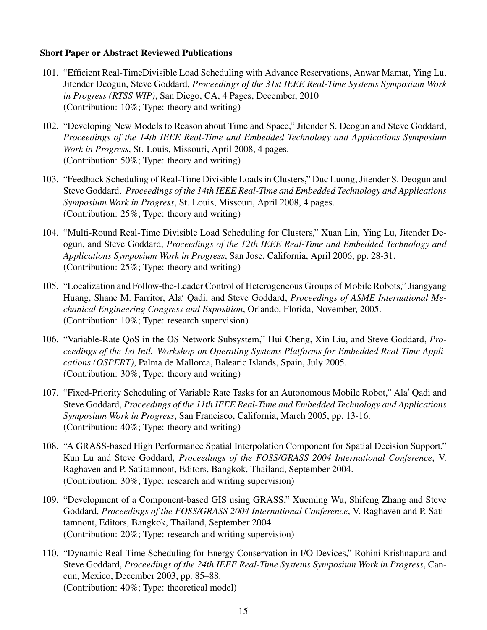# Short Paper or Abstract Reviewed Publications

- 101. "Efficient Real-TimeDivisible Load Scheduling with Advance Reservations, Anwar Mamat, Ying Lu, Jitender Deogun, Steve Goddard, *Proceedings of the 31st IEEE Real-Time Systems Symposium Work in Progress (RTSS WIP)*, San Diego, CA, 4 Pages, December, 2010 (Contribution: 10%; Type: theory and writing)
- 102. "Developing New Models to Reason about Time and Space," Jitender S. Deogun and Steve Goddard, *Proceedings of the 14th IEEE Real-Time and Embedded Technology and Applications Symposium Work in Progress*, St. Louis, Missouri, April 2008, 4 pages. (Contribution: 50%; Type: theory and writing)
- 103. "Feedback Scheduling of Real-Time Divisible Loads in Clusters," Duc Luong, Jitender S. Deogun and Steve Goddard, *Proceedings of the 14th IEEE Real-Time and Embedded Technology and Applications Symposium Work in Progress*, St. Louis, Missouri, April 2008, 4 pages. (Contribution: 25%; Type: theory and writing)
- 104. "Multi-Round Real-Time Divisible Load Scheduling for Clusters," Xuan Lin, Ying Lu, Jitender Deogun, and Steve Goddard, *Proceedings of the 12th IEEE Real-Time and Embedded Technology and Applications Symposium Work in Progress*, San Jose, California, April 2006, pp. 28-31. (Contribution: 25%; Type: theory and writing)
- 105. "Localization and Follow-the-Leader Control of Heterogeneous Groups of Mobile Robots," Jiangyang Huang, Shane M. Farritor, Ala' Qadi, and Steve Goddard, *Proceedings of ASME International Mechanical Engineering Congress and Exposition*, Orlando, Florida, November, 2005. (Contribution: 10%; Type: research supervision)
- 106. "Variable-Rate QoS in the OS Network Subsystem," Hui Cheng, Xin Liu, and Steve Goddard, *Proceedings of the 1st Intl. Workshop on Operating Systems Platforms for Embedded Real-Time Applications (OSPERT)*, Palma de Mallorca, Balearic Islands, Spain, July 2005. (Contribution: 30%; Type: theory and writing)
- 107. "Fixed-Priority Scheduling of Variable Rate Tasks for an Autonomous Mobile Robot," Ala' Qadi and Steve Goddard, *Proceedings of the 11th IEEE Real-Time and Embedded Technology and Applications Symposium Work in Progress*, San Francisco, California, March 2005, pp. 13-16. (Contribution: 40%; Type: theory and writing)
- 108. "A GRASS-based High Performance Spatial Interpolation Component for Spatial Decision Support," Kun Lu and Steve Goddard, *Proceedings of the FOSS/GRASS 2004 International Conference*, V. Raghaven and P. Satitamnont, Editors, Bangkok, Thailand, September 2004. (Contribution: 30%; Type: research and writing supervision)
- 109. "Development of a Component-based GIS using GRASS," Xueming Wu, Shifeng Zhang and Steve Goddard, *Proceedings of the FOSS/GRASS 2004 International Conference*, V. Raghaven and P. Satitamnont, Editors, Bangkok, Thailand, September 2004. (Contribution: 20%; Type: research and writing supervision)
- 110. "Dynamic Real-Time Scheduling for Energy Conservation in I/O Devices," Rohini Krishnapura and Steve Goddard, *Proceedings of the 24th IEEE Real-Time Systems Symposium Work in Progress*, Cancun, Mexico, December 2003, pp. 85–88. (Contribution: 40%; Type: theoretical model)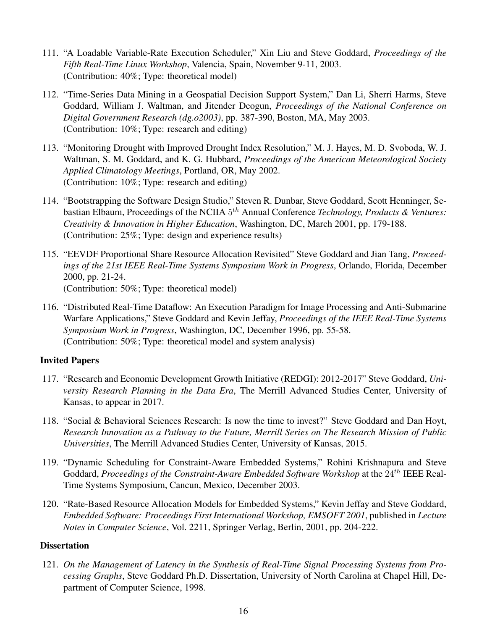- 111. "A Loadable Variable-Rate Execution Scheduler," Xin Liu and Steve Goddard, *Proceedings of the Fifth Real-Time Linux Workshop*, Valencia, Spain, November 9-11, 2003. (Contribution: 40%; Type: theoretical model)
- 112. "Time-Series Data Mining in a Geospatial Decision Support System," Dan Li, Sherri Harms, Steve Goddard, William J. Waltman, and Jitender Deogun, *Proceedings of the National Conference on Digital Government Research (dg.o2003)*, pp. 387-390, Boston, MA, May 2003. (Contribution: 10%; Type: research and editing)
- 113. "Monitoring Drought with Improved Drought Index Resolution," M. J. Hayes, M. D. Svoboda, W. J. Waltman, S. M. Goddard, and K. G. Hubbard, *Proceedings of the American Meteorological Society Applied Climatology Meetings*, Portland, OR, May 2002. (Contribution: 10%; Type: research and editing)
- 114. "Bootstrapping the Software Design Studio," Steven R. Dunbar, Steve Goddard, Scott Henninger, Sebastian Elbaum, Proceedings of the NCIIA  $5^{th}$  Annual Conference *Technology, Products & Ventures: Creativity & Innovation in Higher Education*, Washington, DC, March 2001, pp. 179-188. (Contribution: 25%; Type: design and experience results)
- 115. "EEVDF Proportional Share Resource Allocation Revisited" Steve Goddard and Jian Tang, *Proceedings of the 21st IEEE Real-Time Systems Symposium Work in Progress*, Orlando, Florida, December 2000, pp. 21-24. (Contribution: 50%; Type: theoretical model)
- 116. "Distributed Real-Time Dataflow: An Execution Paradigm for Image Processing and Anti-Submarine Warfare Applications," Steve Goddard and Kevin Jeffay, *Proceedings of the IEEE Real-Time Systems Symposium Work in Progress*, Washington, DC, December 1996, pp. 55-58. (Contribution: 50%; Type: theoretical model and system analysis)

# Invited Papers

- 117. "Research and Economic Development Growth Initiative (REDGI): 2012-2017" Steve Goddard, *University Research Planning in the Data Era*, The Merrill Advanced Studies Center, University of Kansas, to appear in 2017.
- 118. "Social & Behavioral Sciences Research: Is now the time to invest?" Steve Goddard and Dan Hoyt, *Research Innovation as a Pathway to the Future, Merrill Series on The Research Mission of Public Universities*, The Merrill Advanced Studies Center, University of Kansas, 2015.
- 119. "Dynamic Scheduling for Constraint-Aware Embedded Systems," Rohini Krishnapura and Steve Goddard, *Proceedings of the Constraint-Aware Embedded Software Workshop* at the 24<sup>th</sup> IEEE Real-Time Systems Symposium, Cancun, Mexico, December 2003.
- 120. "Rate-Based Resource Allocation Models for Embedded Systems," Kevin Jeffay and Steve Goddard, *Embedded Software: Proceedings First International Workshop, EMSOFT 2001*, published in *Lecture Notes in Computer Science*, Vol. 2211, Springer Verlag, Berlin, 2001, pp. 204-222.

# **Dissertation**

121. *On the Management of Latency in the Synthesis of Real-Time Signal Processing Systems from Processing Graphs*, Steve Goddard Ph.D. Dissertation, University of North Carolina at Chapel Hill, Department of Computer Science, 1998.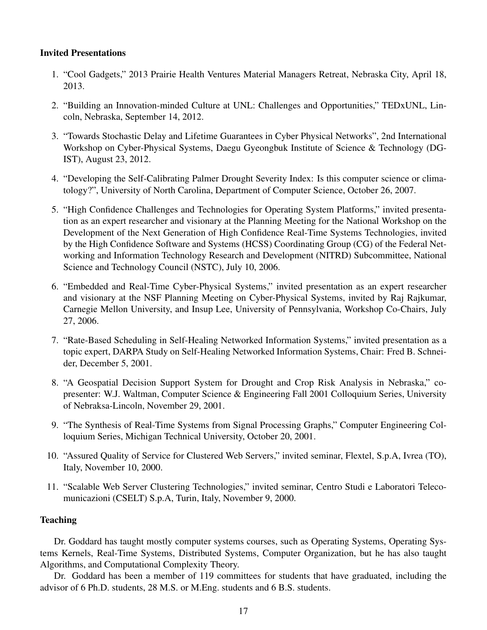# Invited Presentations

- 1. "Cool Gadgets," 2013 Prairie Health Ventures Material Managers Retreat, Nebraska City, April 18, 2013.
- 2. "Building an Innovation-minded Culture at UNL: Challenges and Opportunities," TEDxUNL, Lincoln, Nebraska, September 14, 2012.
- 3. "Towards Stochastic Delay and Lifetime Guarantees in Cyber Physical Networks", 2nd International Workshop on Cyber-Physical Systems, Daegu Gyeongbuk Institute of Science & Technology (DG-IST), August 23, 2012.
- 4. "Developing the Self-Calibrating Palmer Drought Severity Index: Is this computer science or climatology?", University of North Carolina, Department of Computer Science, October 26, 2007.
- 5. "High Confidence Challenges and Technologies for Operating System Platforms," invited presentation as an expert researcher and visionary at the Planning Meeting for the National Workshop on the Development of the Next Generation of High Confidence Real-Time Systems Technologies, invited by the High Confidence Software and Systems (HCSS) Coordinating Group (CG) of the Federal Networking and Information Technology Research and Development (NITRD) Subcommittee, National Science and Technology Council (NSTC), July 10, 2006.
- 6. "Embedded and Real-Time Cyber-Physical Systems," invited presentation as an expert researcher and visionary at the NSF Planning Meeting on Cyber-Physical Systems, invited by Raj Rajkumar, Carnegie Mellon University, and Insup Lee, University of Pennsylvania, Workshop Co-Chairs, July 27, 2006.
- 7. "Rate-Based Scheduling in Self-Healing Networked Information Systems," invited presentation as a topic expert, DARPA Study on Self-Healing Networked Information Systems, Chair: Fred B. Schneider, December 5, 2001.
- 8. "A Geospatial Decision Support System for Drought and Crop Risk Analysis in Nebraska," copresenter: W.J. Waltman, Computer Science & Engineering Fall 2001 Colloquium Series, University of Nebraksa-Lincoln, November 29, 2001.
- 9. "The Synthesis of Real-Time Systems from Signal Processing Graphs," Computer Engineering Colloquium Series, Michigan Technical University, October 20, 2001.
- 10. "Assured Quality of Service for Clustered Web Servers," invited seminar, Flextel, S.p.A, Ivrea (TO), Italy, November 10, 2000.
- 11. "Scalable Web Server Clustering Technologies," invited seminar, Centro Studi e Laboratori Telecomunicazioni (CSELT) S.p.A, Turin, Italy, November 9, 2000.

## **Teaching**

Dr. Goddard has taught mostly computer systems courses, such as Operating Systems, Operating Systems Kernels, Real-Time Systems, Distributed Systems, Computer Organization, but he has also taught Algorithms, and Computational Complexity Theory.

Dr. Goddard has been a member of 119 committees for students that have graduated, including the advisor of 6 Ph.D. students, 28 M.S. or M.Eng. students and 6 B.S. students.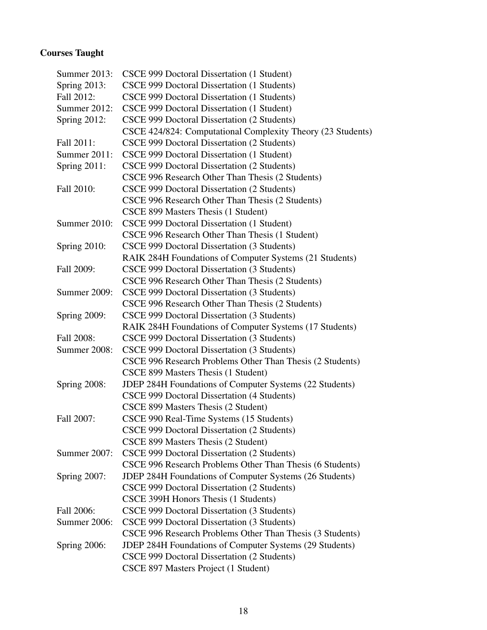# Courses Taught

| <b>Summer 2013:</b> | CSCE 999 Doctoral Dissertation (1 Student)                     |  |
|---------------------|----------------------------------------------------------------|--|
| Spring $2013$ :     | CSCE 999 Doctoral Dissertation (1 Students)                    |  |
| Fall 2012:          | CSCE 999 Doctoral Dissertation (1 Students)                    |  |
| Summer 2012:        | CSCE 999 Doctoral Dissertation (1 Student)                     |  |
| <b>Spring 2012:</b> | CSCE 999 Doctoral Dissertation (2 Students)                    |  |
|                     | CSCE 424/824: Computational Complexity Theory (23 Students)    |  |
| Fall 2011:          | CSCE 999 Doctoral Dissertation (2 Students)                    |  |
| Summer 2011:        | CSCE 999 Doctoral Dissertation (1 Student)                     |  |
| Spring 2011:        | CSCE 999 Doctoral Dissertation (2 Students)                    |  |
|                     | CSCE 996 Research Other Than Thesis (2 Students)               |  |
| Fall 2010:          | CSCE 999 Doctoral Dissertation (2 Students)                    |  |
|                     | CSCE 996 Research Other Than Thesis (2 Students)               |  |
|                     | CSCE 899 Masters Thesis (1 Student)                            |  |
| Summer 2010:        | CSCE 999 Doctoral Dissertation (1 Student)                     |  |
|                     | CSCE 996 Research Other Than Thesis (1 Student)                |  |
| Spring 2010:        | CSCE 999 Doctoral Dissertation (3 Students)                    |  |
|                     | RAIK 284H Foundations of Computer Systems (21 Students)        |  |
| Fall 2009:          | CSCE 999 Doctoral Dissertation (3 Students)                    |  |
|                     | CSCE 996 Research Other Than Thesis (2 Students)               |  |
| <b>Summer 2009:</b> | CSCE 999 Doctoral Dissertation (3 Students)                    |  |
|                     | CSCE 996 Research Other Than Thesis (2 Students)               |  |
| <b>Spring 2009:</b> | CSCE 999 Doctoral Dissertation (3 Students)                    |  |
|                     | RAIK 284H Foundations of Computer Systems (17 Students)        |  |
| Fall 2008:          | CSCE 999 Doctoral Dissertation (3 Students)                    |  |
| Summer 2008:        | CSCE 999 Doctoral Dissertation (3 Students)                    |  |
|                     | CSCE 996 Research Problems Other Than Thesis (2 Students)      |  |
|                     | CSCE 899 Masters Thesis (1 Student)                            |  |
| <b>Spring 2008:</b> | JDEP 284H Foundations of Computer Systems (22 Students)        |  |
|                     | CSCE 999 Doctoral Dissertation (4 Students)                    |  |
|                     | CSCE 899 Masters Thesis (2 Student)                            |  |
| Fall 2007:          | CSCE 990 Real-Time Systems (15 Students)                       |  |
|                     | CSCE 999 Doctoral Dissertation (2 Students)                    |  |
|                     | CSCE 899 Masters Thesis (2 Student)                            |  |
| Summer 2007:        | CSCE 999 Doctoral Dissertation (2 Students)                    |  |
|                     | CSCE 996 Research Problems Other Than Thesis (6 Students)      |  |
| <b>Spring 2007:</b> | JDEP 284H Foundations of Computer Systems (26 Students)        |  |
|                     | CSCE 999 Doctoral Dissertation (2 Students)                    |  |
|                     | CSCE 399H Honors Thesis (1 Students)                           |  |
| Fall 2006:          | CSCE 999 Doctoral Dissertation (3 Students)                    |  |
| Summer 2006:        | CSCE 999 Doctoral Dissertation (3 Students)                    |  |
|                     | CSCE 996 Research Problems Other Than Thesis (3 Students)      |  |
| Spring $2006$ :     | <b>JDEP 284H Foundations of Computer Systems (29 Students)</b> |  |
|                     | CSCE 999 Doctoral Dissertation (2 Students)                    |  |
|                     | CSCE 897 Masters Project (1 Student)                           |  |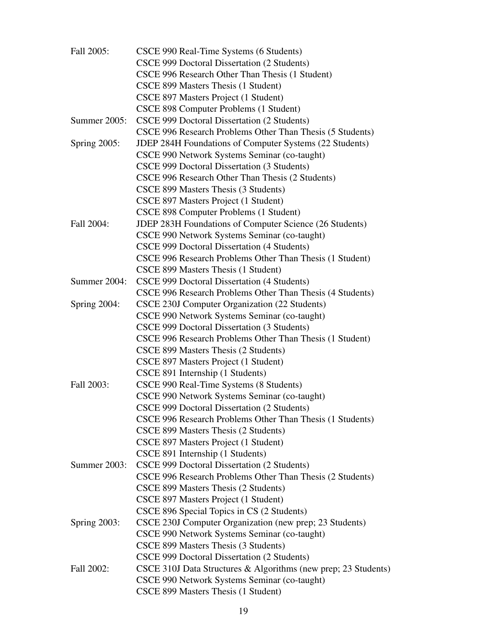| Fall 2005:          | CSCE 990 Real-Time Systems (6 Students)                        |
|---------------------|----------------------------------------------------------------|
|                     | CSCE 999 Doctoral Dissertation (2 Students)                    |
|                     | CSCE 996 Research Other Than Thesis (1 Student)                |
|                     | CSCE 899 Masters Thesis (1 Student)                            |
|                     | CSCE 897 Masters Project (1 Student)                           |
|                     | CSCE 898 Computer Problems (1 Student)                         |
| Summer 2005:        | CSCE 999 Doctoral Dissertation (2 Students)                    |
|                     | CSCE 996 Research Problems Other Than Thesis (5 Students)      |
| <b>Spring 2005:</b> | JDEP 284H Foundations of Computer Systems (22 Students)        |
|                     | CSCE 990 Network Systems Seminar (co-taught)                   |
|                     | CSCE 999 Doctoral Dissertation (3 Students)                    |
|                     | CSCE 996 Research Other Than Thesis (2 Students)               |
|                     | CSCE 899 Masters Thesis (3 Students)                           |
|                     | CSCE 897 Masters Project (1 Student)                           |
|                     | CSCE 898 Computer Problems (1 Student)                         |
| Fall 2004:          | JDEP 283H Foundations of Computer Science (26 Students)        |
|                     | CSCE 990 Network Systems Seminar (co-taught)                   |
|                     | CSCE 999 Doctoral Dissertation (4 Students)                    |
|                     | CSCE 996 Research Problems Other Than Thesis (1 Student)       |
|                     |                                                                |
|                     | CSCE 899 Masters Thesis (1 Student)                            |
| Summer 2004:        | CSCE 999 Doctoral Dissertation (4 Students)                    |
|                     | CSCE 996 Research Problems Other Than Thesis (4 Students)      |
| <b>Spring 2004:</b> | CSCE 230J Computer Organization (22 Students)                  |
|                     | CSCE 990 Network Systems Seminar (co-taught)                   |
|                     | CSCE 999 Doctoral Dissertation (3 Students)                    |
|                     | CSCE 996 Research Problems Other Than Thesis (1 Student)       |
|                     | CSCE 899 Masters Thesis (2 Students)                           |
|                     | CSCE 897 Masters Project (1 Student)                           |
|                     | CSCE 891 Internship (1 Students)                               |
| Fall 2003:          | CSCE 990 Real-Time Systems (8 Students)                        |
|                     | CSCE 990 Network Systems Seminar (co-taught)                   |
|                     | CSCE 999 Doctoral Dissertation (2 Students)                    |
|                     | CSCE 996 Research Problems Other Than Thesis (1 Students)      |
|                     | CSCE 899 Masters Thesis (2 Students)                           |
|                     | CSCE 897 Masters Project (1 Student)                           |
|                     | CSCE 891 Internship (1 Students)                               |
| <b>Summer 2003:</b> | CSCE 999 Doctoral Dissertation (2 Students)                    |
|                     | CSCE 996 Research Problems Other Than Thesis (2 Students)      |
|                     | CSCE 899 Masters Thesis (2 Students)                           |
|                     | CSCE 897 Masters Project (1 Student)                           |
|                     | CSCE 896 Special Topics in CS (2 Students)                     |
| <b>Spring 2003:</b> | CSCE 230J Computer Organization (new prep; 23 Students)        |
|                     | CSCE 990 Network Systems Seminar (co-taught)                   |
|                     | CSCE 899 Masters Thesis (3 Students)                           |
|                     | CSCE 999 Doctoral Dissertation (2 Students)                    |
| Fall 2002:          | CSCE 310J Data Structures & Algorithms (new prep; 23 Students) |
|                     | CSCE 990 Network Systems Seminar (co-taught)                   |
|                     | CSCE 899 Masters Thesis (1 Student)                            |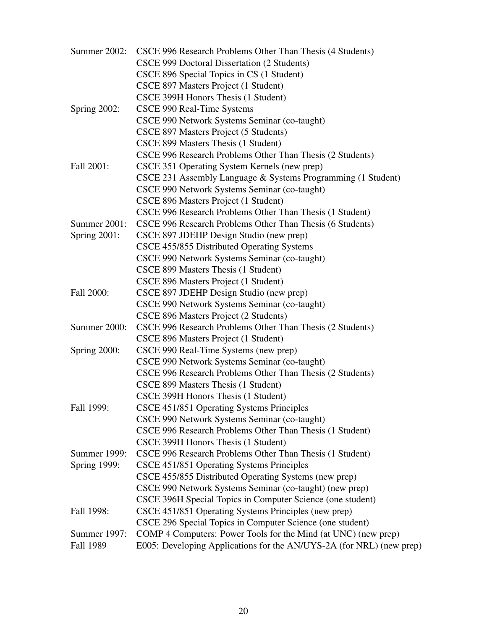| Summer 2002:        | CSCE 996 Research Problems Other Than Thesis (4 Students)            |
|---------------------|----------------------------------------------------------------------|
|                     | CSCE 999 Doctoral Dissertation (2 Students)                          |
|                     | CSCE 896 Special Topics in CS (1 Student)                            |
|                     | CSCE 897 Masters Project (1 Student)                                 |
|                     | CSCE 399H Honors Thesis (1 Student)                                  |
| Spring $2002$ :     | CSCE 990 Real-Time Systems                                           |
|                     | CSCE 990 Network Systems Seminar (co-taught)                         |
|                     | CSCE 897 Masters Project (5 Students)                                |
|                     | CSCE 899 Masters Thesis (1 Student)                                  |
|                     | CSCE 996 Research Problems Other Than Thesis (2 Students)            |
| Fall 2001:          | CSCE 351 Operating System Kernels (new prep)                         |
|                     | CSCE 231 Assembly Language & Systems Programming (1 Student)         |
|                     | CSCE 990 Network Systems Seminar (co-taught)                         |
|                     | CSCE 896 Masters Project (1 Student)                                 |
|                     | CSCE 996 Research Problems Other Than Thesis (1 Student)             |
| Summer 2001:        | CSCE 996 Research Problems Other Than Thesis (6 Students)            |
| <b>Spring 2001:</b> | CSCE 897 JDEHP Design Studio (new prep)                              |
|                     | CSCE 455/855 Distributed Operating Systems                           |
|                     | CSCE 990 Network Systems Seminar (co-taught)                         |
|                     | CSCE 899 Masters Thesis (1 Student)                                  |
|                     | CSCE 896 Masters Project (1 Student)                                 |
| Fall 2000:          | CSCE 897 JDEHP Design Studio (new prep)                              |
|                     | CSCE 990 Network Systems Seminar (co-taught)                         |
|                     | CSCE 896 Masters Project (2 Students)                                |
| Summer 2000:        | CSCE 996 Research Problems Other Than Thesis (2 Students)            |
|                     | CSCE 896 Masters Project (1 Student)                                 |
| Spring 2000:        | CSCE 990 Real-Time Systems (new prep)                                |
|                     | CSCE 990 Network Systems Seminar (co-taught)                         |
|                     | CSCE 996 Research Problems Other Than Thesis (2 Students)            |
|                     | CSCE 899 Masters Thesis (1 Student)                                  |
|                     | CSCE 399H Honors Thesis (1 Student)                                  |
| Fall 1999:          | CSCE 451/851 Operating Systems Principles                            |
|                     | CSCE 990 Network Systems Seminar (co-taught)                         |
|                     | CSCE 996 Research Problems Other Than Thesis (1 Student)             |
|                     | CSCE 399H Honors Thesis (1 Student)                                  |
| <b>Summer 1999:</b> | CSCE 996 Research Problems Other Than Thesis (1 Student)             |
| <b>Spring 1999:</b> | CSCE 451/851 Operating Systems Principles                            |
|                     | CSCE 455/855 Distributed Operating Systems (new prep)                |
|                     | CSCE 990 Network Systems Seminar (co-taught) (new prep)              |
|                     | CSCE 396H Special Topics in Computer Science (one student)           |
| Fall 1998:          | CSCE 451/851 Operating Systems Principles (new prep)                 |
|                     | CSCE 296 Special Topics in Computer Science (one student)            |
| Summer 1997:        | COMP 4 Computers: Power Tools for the Mind (at UNC) (new prep)       |
| Fall 1989           | E005: Developing Applications for the AN/UYS-2A (for NRL) (new prep) |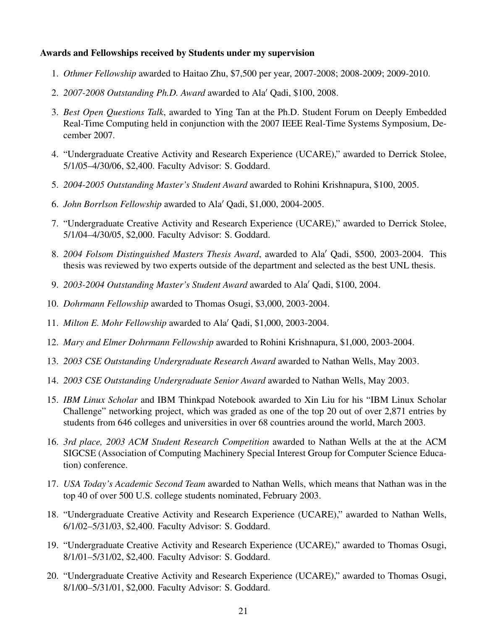# Awards and Fellowships received by Students under my supervision

- 1. *Othmer Fellowship* awarded to Haitao Zhu, \$7,500 per year, 2007-2008; 2008-2009; 2009-2010.
- 2. *2007-2008 Outstanding Ph.D. Award* awarded to Ala' Qadi, \$100, 2008.
- 3. *Best Open Questions Talk*, awarded to Ying Tan at the Ph.D. Student Forum on Deeply Embedded Real-Time Computing held in conjunction with the 2007 IEEE Real-Time Systems Symposium, December 2007.
- 4. "Undergraduate Creative Activity and Research Experience (UCARE)," awarded to Derrick Stolee, 5/1/05–4/30/06, \$2,400. Faculty Advisor: S. Goddard.
- 5. *2004-2005 Outstanding Master's Student Award* awarded to Rohini Krishnapura, \$100, 2005.
- 6. *John Borrlson Fellowship* awarded to Ala' Qadi, \$1,000, 2004-2005.
- 7. "Undergraduate Creative Activity and Research Experience (UCARE)," awarded to Derrick Stolee, 5/1/04–4/30/05, \$2,000. Faculty Advisor: S. Goddard.
- 8. *2004 Folsom Distinguished Masters Thesis Award*, awarded to Ala' Qadi, \$500, 2003-2004. This thesis was reviewed by two experts outside of the department and selected as the best UNL thesis.
- 9. *2003-2004 Outstanding Master's Student Award* awarded to Ala' Qadi, \$100, 2004.
- 10. *Dohrmann Fellowship* awarded to Thomas Osugi, \$3,000, 2003-2004.
- 11. *Milton E. Mohr Fellowship* awarded to Ala' Qadi, \$1,000, 2003-2004.
- 12. *Mary and Elmer Dohrmann Fellowship* awarded to Rohini Krishnapura, \$1,000, 2003-2004.
- 13. *2003 CSE Outstanding Undergraduate Research Award* awarded to Nathan Wells, May 2003.
- 14. *2003 CSE Outstanding Undergraduate Senior Award* awarded to Nathan Wells, May 2003.
- 15. *IBM Linux Scholar* and IBM Thinkpad Notebook awarded to Xin Liu for his "IBM Linux Scholar Challenge" networking project, which was graded as one of the top 20 out of over 2,871 entries by students from 646 colleges and universities in over 68 countries around the world, March 2003.
- 16. *3rd place, 2003 ACM Student Research Competition* awarded to Nathan Wells at the at the ACM SIGCSE (Association of Computing Machinery Special Interest Group for Computer Science Education) conference.
- 17. *USA Today's Academic Second Team* awarded to Nathan Wells, which means that Nathan was in the top 40 of over 500 U.S. college students nominated, February 2003.
- 18. "Undergraduate Creative Activity and Research Experience (UCARE)," awarded to Nathan Wells, 6/1/02–5/31/03, \$2,400. Faculty Advisor: S. Goddard.
- 19. "Undergraduate Creative Activity and Research Experience (UCARE)," awarded to Thomas Osugi, 8/1/01–5/31/02, \$2,400. Faculty Advisor: S. Goddard.
- 20. "Undergraduate Creative Activity and Research Experience (UCARE)," awarded to Thomas Osugi, 8/1/00–5/31/01, \$2,000. Faculty Advisor: S. Goddard.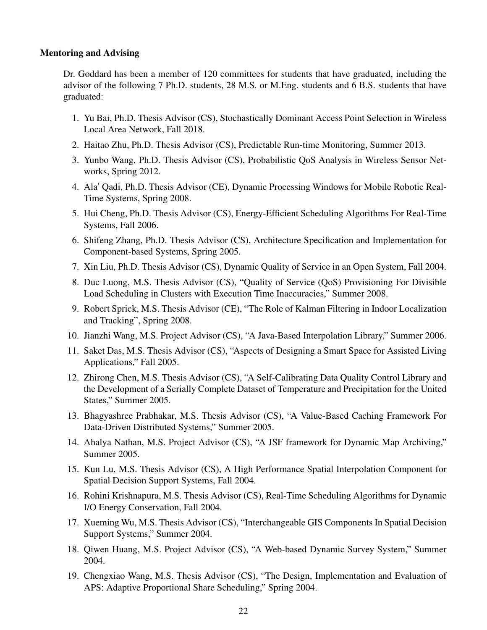#### Mentoring and Advising

Dr. Goddard has been a member of 120 committees for students that have graduated, including the advisor of the following 7 Ph.D. students, 28 M.S. or M.Eng. students and 6 B.S. students that have graduated:

- 1. Yu Bai, Ph.D. Thesis Advisor (CS), Stochastically Dominant Access Point Selection in Wireless Local Area Network, Fall 2018.
- 2. Haitao Zhu, Ph.D. Thesis Advisor (CS), Predictable Run-time Monitoring, Summer 2013.
- 3. Yunbo Wang, Ph.D. Thesis Advisor (CS), Probabilistic QoS Analysis in Wireless Sensor Networks, Spring 2012.
- 4. Ala' Qadi, Ph.D. Thesis Advisor (CE), Dynamic Processing Windows for Mobile Robotic Real-Time Systems, Spring 2008.
- 5. Hui Cheng, Ph.D. Thesis Advisor (CS), Energy-Efficient Scheduling Algorithms For Real-Time Systems, Fall 2006.
- 6. Shifeng Zhang, Ph.D. Thesis Advisor (CS), Architecture Specification and Implementation for Component-based Systems, Spring 2005.
- 7. Xin Liu, Ph.D. Thesis Advisor (CS), Dynamic Quality of Service in an Open System, Fall 2004.
- 8. Duc Luong, M.S. Thesis Advisor (CS), "Quality of Service (QoS) Provisioning For Divisible Load Scheduling in Clusters with Execution Time Inaccuracies," Summer 2008.
- 9. Robert Sprick, M.S. Thesis Advisor (CE), "The Role of Kalman Filtering in Indoor Localization and Tracking", Spring 2008.
- 10. Jianzhi Wang, M.S. Project Advisor (CS), "A Java-Based Interpolation Library," Summer 2006.
- 11. Saket Das, M.S. Thesis Advisor (CS), "Aspects of Designing a Smart Space for Assisted Living Applications," Fall 2005.
- 12. Zhirong Chen, M.S. Thesis Advisor (CS), "A Self-Calibrating Data Quality Control Library and the Development of a Serially Complete Dataset of Temperature and Precipitation for the United States," Summer 2005.
- 13. Bhagyashree Prabhakar, M.S. Thesis Advisor (CS), "A Value-Based Caching Framework For Data-Driven Distributed Systems," Summer 2005.
- 14. Ahalya Nathan, M.S. Project Advisor (CS), "A JSF framework for Dynamic Map Archiving," Summer 2005.
- 15. Kun Lu, M.S. Thesis Advisor (CS), A High Performance Spatial Interpolation Component for Spatial Decision Support Systems, Fall 2004.
- 16. Rohini Krishnapura, M.S. Thesis Advisor (CS), Real-Time Scheduling Algorithms for Dynamic I/O Energy Conservation, Fall 2004.
- 17. Xueming Wu, M.S. Thesis Advisor (CS), "Interchangeable GIS Components In Spatial Decision Support Systems," Summer 2004.
- 18. Qiwen Huang, M.S. Project Advisor (CS), "A Web-based Dynamic Survey System," Summer 2004.
- 19. Chengxiao Wang, M.S. Thesis Advisor (CS), "The Design, Implementation and Evaluation of APS: Adaptive Proportional Share Scheduling," Spring 2004.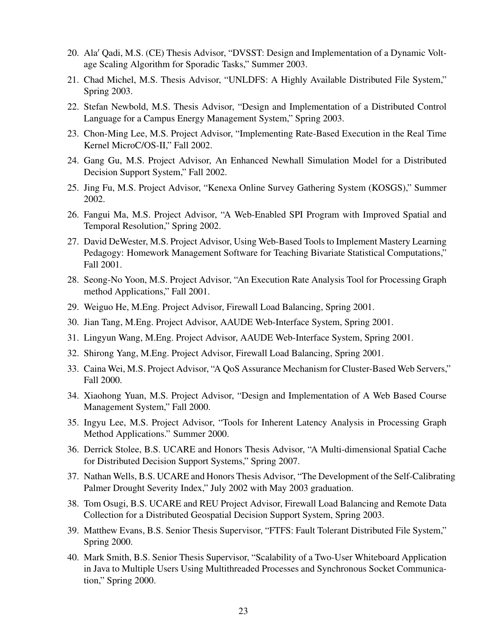- 20. Ala' Qadi, M.S. (CE) Thesis Advisor, "DVSST: Design and Implementation of a Dynamic Voltage Scaling Algorithm for Sporadic Tasks," Summer 2003.
- 21. Chad Michel, M.S. Thesis Advisor, "UNLDFS: A Highly Available Distributed File System," Spring 2003.
- 22. Stefan Newbold, M.S. Thesis Advisor, "Design and Implementation of a Distributed Control Language for a Campus Energy Management System," Spring 2003.
- 23. Chon-Ming Lee, M.S. Project Advisor, "Implementing Rate-Based Execution in the Real Time Kernel MicroC/OS-II," Fall 2002.
- 24. Gang Gu, M.S. Project Advisor, An Enhanced Newhall Simulation Model for a Distributed Decision Support System," Fall 2002.
- 25. Jing Fu, M.S. Project Advisor, "Kenexa Online Survey Gathering System (KOSGS)," Summer 2002.
- 26. Fangui Ma, M.S. Project Advisor, "A Web-Enabled SPI Program with Improved Spatial and Temporal Resolution," Spring 2002.
- 27. David DeWester, M.S. Project Advisor, Using Web-Based Tools to Implement Mastery Learning Pedagogy: Homework Management Software for Teaching Bivariate Statistical Computations," Fall 2001.
- 28. Seong-No Yoon, M.S. Project Advisor, "An Execution Rate Analysis Tool for Processing Graph method Applications," Fall 2001.
- 29. Weiguo He, M.Eng. Project Advisor, Firewall Load Balancing, Spring 2001.
- 30. Jian Tang, M.Eng. Project Advisor, AAUDE Web-Interface System, Spring 2001.
- 31. Lingyun Wang, M.Eng. Project Advisor, AAUDE Web-Interface System, Spring 2001.
- 32. Shirong Yang, M.Eng. Project Advisor, Firewall Load Balancing, Spring 2001.
- 33. Caina Wei, M.S. Project Advisor, "A QoS Assurance Mechanism for Cluster-Based Web Servers," Fall 2000.
- 34. Xiaohong Yuan, M.S. Project Advisor, "Design and Implementation of A Web Based Course Management System," Fall 2000.
- 35. Ingyu Lee, M.S. Project Advisor, "Tools for Inherent Latency Analysis in Processing Graph Method Applications." Summer 2000.
- 36. Derrick Stolee, B.S. UCARE and Honors Thesis Advisor, "A Multi-dimensional Spatial Cache for Distributed Decision Support Systems," Spring 2007.
- 37. Nathan Wells, B.S. UCARE and Honors Thesis Advisor, "The Development of the Self-Calibrating Palmer Drought Severity Index," July 2002 with May 2003 graduation.
- 38. Tom Osugi, B.S. UCARE and REU Project Advisor, Firewall Load Balancing and Remote Data Collection for a Distributed Geospatial Decision Support System, Spring 2003.
- 39. Matthew Evans, B.S. Senior Thesis Supervisor, "FTFS: Fault Tolerant Distributed File System," Spring 2000.
- 40. Mark Smith, B.S. Senior Thesis Supervisor, "Scalability of a Two-User Whiteboard Application in Java to Multiple Users Using Multithreaded Processes and Synchronous Socket Communication," Spring 2000.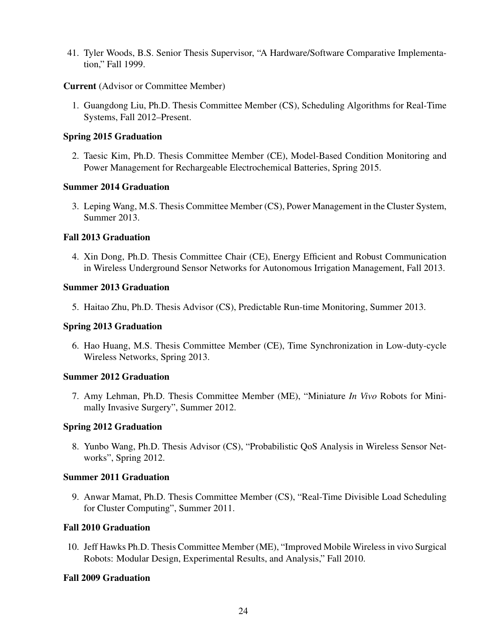41. Tyler Woods, B.S. Senior Thesis Supervisor, "A Hardware/Software Comparative Implementation," Fall 1999.

# Current (Advisor or Committee Member)

1. Guangdong Liu, Ph.D. Thesis Committee Member (CS), Scheduling Algorithms for Real-Time Systems, Fall 2012–Present.

# Spring 2015 Graduation

2. Taesic Kim, Ph.D. Thesis Committee Member (CE), Model-Based Condition Monitoring and Power Management for Rechargeable Electrochemical Batteries, Spring 2015.

#### Summer 2014 Graduation

3. Leping Wang, M.S. Thesis Committee Member (CS), Power Management in the Cluster System, Summer 2013.

# Fall 2013 Graduation

4. Xin Dong, Ph.D. Thesis Committee Chair (CE), Energy Efficient and Robust Communication in Wireless Underground Sensor Networks for Autonomous Irrigation Management, Fall 2013.

#### Summer 2013 Graduation

5. Haitao Zhu, Ph.D. Thesis Advisor (CS), Predictable Run-time Monitoring, Summer 2013.

#### Spring 2013 Graduation

6. Hao Huang, M.S. Thesis Committee Member (CE), Time Synchronization in Low-duty-cycle Wireless Networks, Spring 2013.

#### Summer 2012 Graduation

7. Amy Lehman, Ph.D. Thesis Committee Member (ME), "Miniature *In Vivo* Robots for Minimally Invasive Surgery", Summer 2012.

#### Spring 2012 Graduation

8. Yunbo Wang, Ph.D. Thesis Advisor (CS), "Probabilistic QoS Analysis in Wireless Sensor Networks", Spring 2012.

#### Summer 2011 Graduation

9. Anwar Mamat, Ph.D. Thesis Committee Member (CS), "Real-Time Divisible Load Scheduling for Cluster Computing", Summer 2011.

#### Fall 2010 Graduation

10. Jeff Hawks Ph.D. Thesis Committee Member (ME), "Improved Mobile Wireless in vivo Surgical Robots: Modular Design, Experimental Results, and Analysis," Fall 2010.

### Fall 2009 Graduation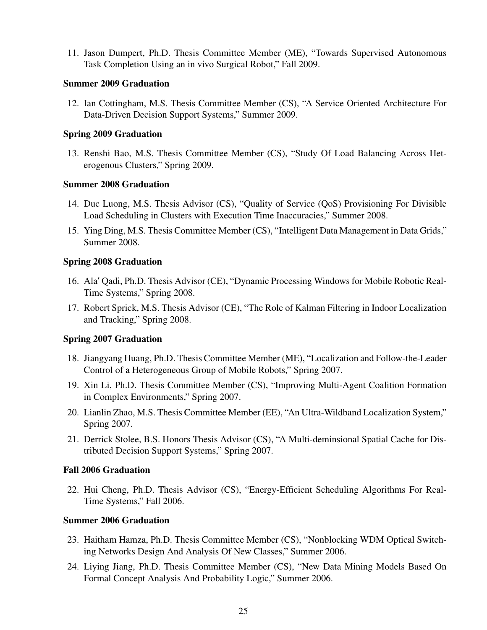11. Jason Dumpert, Ph.D. Thesis Committee Member (ME), "Towards Supervised Autonomous Task Completion Using an in vivo Surgical Robot," Fall 2009.

## Summer 2009 Graduation

12. Ian Cottingham, M.S. Thesis Committee Member (CS), "A Service Oriented Architecture For Data-Driven Decision Support Systems," Summer 2009.

# Spring 2009 Graduation

13. Renshi Bao, M.S. Thesis Committee Member (CS), "Study Of Load Balancing Across Heterogenous Clusters," Spring 2009.

# Summer 2008 Graduation

- 14. Duc Luong, M.S. Thesis Advisor (CS), "Quality of Service (QoS) Provisioning For Divisible Load Scheduling in Clusters with Execution Time Inaccuracies," Summer 2008.
- 15. Ying Ding, M.S. Thesis Committee Member (CS), "Intelligent Data Management in Data Grids," Summer 2008.

# Spring 2008 Graduation

- 16. Ala' Qadi, Ph.D. Thesis Advisor (CE), "Dynamic Processing Windows for Mobile Robotic Real-Time Systems," Spring 2008.
- 17. Robert Sprick, M.S. Thesis Advisor (CE), "The Role of Kalman Filtering in Indoor Localization and Tracking," Spring 2008.

# Spring 2007 Graduation

- 18. Jiangyang Huang, Ph.D. Thesis Committee Member (ME), "Localization and Follow-the-Leader Control of a Heterogeneous Group of Mobile Robots," Spring 2007.
- 19. Xin Li, Ph.D. Thesis Committee Member (CS), "Improving Multi-Agent Coalition Formation in Complex Environments," Spring 2007.
- 20. Lianlin Zhao, M.S. Thesis Committee Member (EE), "An Ultra-Wildband Localization System," Spring 2007.
- 21. Derrick Stolee, B.S. Honors Thesis Advisor (CS), "A Multi-deminsional Spatial Cache for Distributed Decision Support Systems," Spring 2007.

# Fall 2006 Graduation

22. Hui Cheng, Ph.D. Thesis Advisor (CS), "Energy-Efficient Scheduling Algorithms For Real-Time Systems," Fall 2006.

# Summer 2006 Graduation

- 23. Haitham Hamza, Ph.D. Thesis Committee Member (CS), "Nonblocking WDM Optical Switching Networks Design And Analysis Of New Classes," Summer 2006.
- 24. Liying Jiang, Ph.D. Thesis Committee Member (CS), "New Data Mining Models Based On Formal Concept Analysis And Probability Logic," Summer 2006.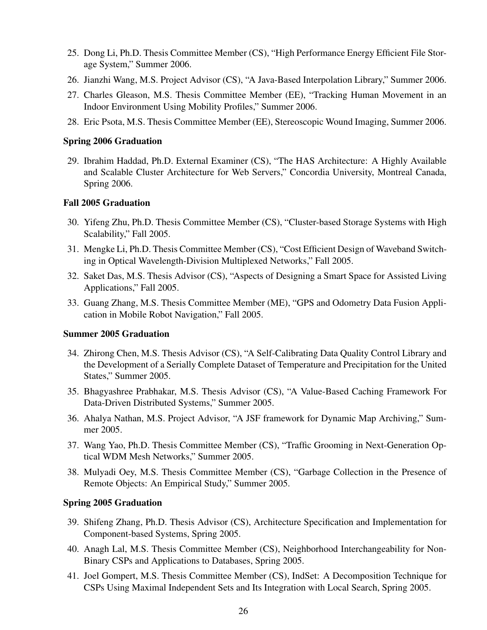- 25. Dong Li, Ph.D. Thesis Committee Member (CS), "High Performance Energy Efficient File Storage System," Summer 2006.
- 26. Jianzhi Wang, M.S. Project Advisor (CS), "A Java-Based Interpolation Library," Summer 2006.
- 27. Charles Gleason, M.S. Thesis Committee Member (EE), "Tracking Human Movement in an Indoor Environment Using Mobility Profiles," Summer 2006.
- 28. Eric Psota, M.S. Thesis Committee Member (EE), Stereoscopic Wound Imaging, Summer 2006.

#### Spring 2006 Graduation

29. Ibrahim Haddad, Ph.D. External Examiner (CS), "The HAS Architecture: A Highly Available and Scalable Cluster Architecture for Web Servers," Concordia University, Montreal Canada, Spring 2006.

### Fall 2005 Graduation

- 30. Yifeng Zhu, Ph.D. Thesis Committee Member (CS), "Cluster-based Storage Systems with High Scalability," Fall 2005.
- 31. Mengke Li, Ph.D. Thesis Committee Member (CS), "Cost Efficient Design of Waveband Switching in Optical Wavelength-Division Multiplexed Networks," Fall 2005.
- 32. Saket Das, M.S. Thesis Advisor (CS), "Aspects of Designing a Smart Space for Assisted Living Applications," Fall 2005.
- 33. Guang Zhang, M.S. Thesis Committee Member (ME), "GPS and Odometry Data Fusion Application in Mobile Robot Navigation," Fall 2005.

## Summer 2005 Graduation

- 34. Zhirong Chen, M.S. Thesis Advisor (CS), "A Self-Calibrating Data Quality Control Library and the Development of a Serially Complete Dataset of Temperature and Precipitation for the United States," Summer 2005.
- 35. Bhagyashree Prabhakar, M.S. Thesis Advisor (CS), "A Value-Based Caching Framework For Data-Driven Distributed Systems," Summer 2005.
- 36. Ahalya Nathan, M.S. Project Advisor, "A JSF framework for Dynamic Map Archiving," Summer 2005.
- 37. Wang Yao, Ph.D. Thesis Committee Member (CS), "Traffic Grooming in Next-Generation Optical WDM Mesh Networks," Summer 2005.
- 38. Mulyadi Oey, M.S. Thesis Committee Member (CS), "Garbage Collection in the Presence of Remote Objects: An Empirical Study," Summer 2005.

#### Spring 2005 Graduation

- 39. Shifeng Zhang, Ph.D. Thesis Advisor (CS), Architecture Specification and Implementation for Component-based Systems, Spring 2005.
- 40. Anagh Lal, M.S. Thesis Committee Member (CS), Neighborhood Interchangeability for Non-Binary CSPs and Applications to Databases, Spring 2005.
- 41. Joel Gompert, M.S. Thesis Committee Member (CS), IndSet: A Decomposition Technique for CSPs Using Maximal Independent Sets and Its Integration with Local Search, Spring 2005.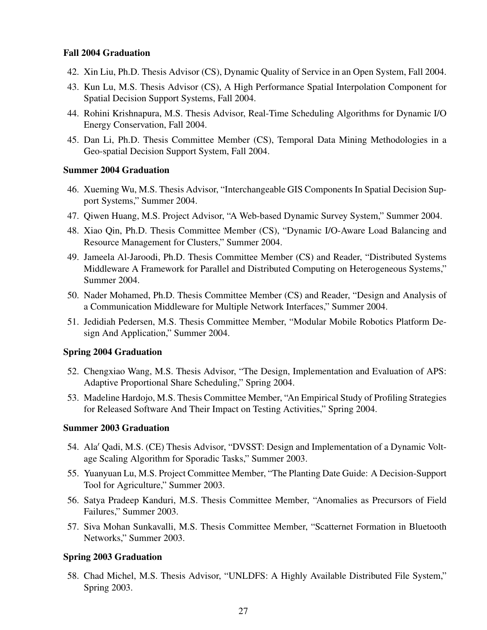# Fall 2004 Graduation

- 42. Xin Liu, Ph.D. Thesis Advisor (CS), Dynamic Quality of Service in an Open System, Fall 2004.
- 43. Kun Lu, M.S. Thesis Advisor (CS), A High Performance Spatial Interpolation Component for Spatial Decision Support Systems, Fall 2004.
- 44. Rohini Krishnapura, M.S. Thesis Advisor, Real-Time Scheduling Algorithms for Dynamic I/O Energy Conservation, Fall 2004.
- 45. Dan Li, Ph.D. Thesis Committee Member (CS), Temporal Data Mining Methodologies in a Geo-spatial Decision Support System, Fall 2004.

# Summer 2004 Graduation

- 46. Xueming Wu, M.S. Thesis Advisor, "Interchangeable GIS Components In Spatial Decision Support Systems," Summer 2004.
- 47. Qiwen Huang, M.S. Project Advisor, "A Web-based Dynamic Survey System," Summer 2004.
- 48. Xiao Qin, Ph.D. Thesis Committee Member (CS), "Dynamic I/O-Aware Load Balancing and Resource Management for Clusters," Summer 2004.
- 49. Jameela Al-Jaroodi, Ph.D. Thesis Committee Member (CS) and Reader, "Distributed Systems Middleware A Framework for Parallel and Distributed Computing on Heterogeneous Systems," Summer 2004.
- 50. Nader Mohamed, Ph.D. Thesis Committee Member (CS) and Reader, "Design and Analysis of a Communication Middleware for Multiple Network Interfaces," Summer 2004.
- 51. Jedidiah Pedersen, M.S. Thesis Committee Member, "Modular Mobile Robotics Platform Design And Application," Summer 2004.

# Spring 2004 Graduation

- 52. Chengxiao Wang, M.S. Thesis Advisor, "The Design, Implementation and Evaluation of APS: Adaptive Proportional Share Scheduling," Spring 2004.
- 53. Madeline Hardojo, M.S. Thesis Committee Member, "An Empirical Study of Profiling Strategies for Released Software And Their Impact on Testing Activities," Spring 2004.

#### Summer 2003 Graduation

- 54. Ala<sup> $\prime$ </sup> Qadi, M.S. (CE) Thesis Advisor, "DVSST: Design and Implementation of a Dynamic Voltage Scaling Algorithm for Sporadic Tasks," Summer 2003.
- 55. Yuanyuan Lu, M.S. Project Committee Member, "The Planting Date Guide: A Decision-Support Tool for Agriculture," Summer 2003.
- 56. Satya Pradeep Kanduri, M.S. Thesis Committee Member, "Anomalies as Precursors of Field Failures," Summer 2003.
- 57. Siva Mohan Sunkavalli, M.S. Thesis Committee Member, "Scatternet Formation in Bluetooth Networks," Summer 2003.

# Spring 2003 Graduation

58. Chad Michel, M.S. Thesis Advisor, "UNLDFS: A Highly Available Distributed File System," Spring 2003.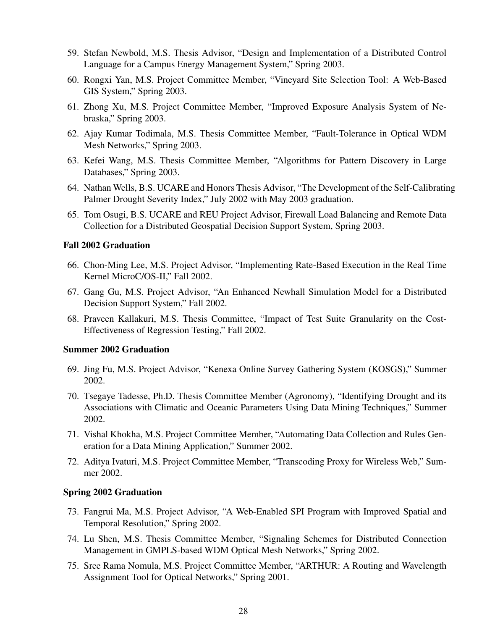- 59. Stefan Newbold, M.S. Thesis Advisor, "Design and Implementation of a Distributed Control Language for a Campus Energy Management System," Spring 2003.
- 60. Rongxi Yan, M.S. Project Committee Member, "Vineyard Site Selection Tool: A Web-Based GIS System," Spring 2003.
- 61. Zhong Xu, M.S. Project Committee Member, "Improved Exposure Analysis System of Nebraska," Spring 2003.
- 62. Ajay Kumar Todimala, M.S. Thesis Committee Member, "Fault-Tolerance in Optical WDM Mesh Networks," Spring 2003.
- 63. Kefei Wang, M.S. Thesis Committee Member, "Algorithms for Pattern Discovery in Large Databases," Spring 2003.
- 64. Nathan Wells, B.S. UCARE and Honors Thesis Advisor, "The Development of the Self-Calibrating Palmer Drought Severity Index," July 2002 with May 2003 graduation.
- 65. Tom Osugi, B.S. UCARE and REU Project Advisor, Firewall Load Balancing and Remote Data Collection for a Distributed Geospatial Decision Support System, Spring 2003.

# Fall 2002 Graduation

- 66. Chon-Ming Lee, M.S. Project Advisor, "Implementing Rate-Based Execution in the Real Time Kernel MicroC/OS-II," Fall 2002.
- 67. Gang Gu, M.S. Project Advisor, "An Enhanced Newhall Simulation Model for a Distributed Decision Support System," Fall 2002.
- 68. Praveen Kallakuri, M.S. Thesis Committee, "Impact of Test Suite Granularity on the Cost-Effectiveness of Regression Testing," Fall 2002.

#### Summer 2002 Graduation

- 69. Jing Fu, M.S. Project Advisor, "Kenexa Online Survey Gathering System (KOSGS)," Summer 2002.
- 70. Tsegaye Tadesse, Ph.D. Thesis Committee Member (Agronomy), "Identifying Drought and its Associations with Climatic and Oceanic Parameters Using Data Mining Techniques," Summer 2002.
- 71. Vishal Khokha, M.S. Project Committee Member, "Automating Data Collection and Rules Generation for a Data Mining Application," Summer 2002.
- 72. Aditya Ivaturi, M.S. Project Committee Member, "Transcoding Proxy for Wireless Web," Summer 2002.

## Spring 2002 Graduation

- 73. Fangrui Ma, M.S. Project Advisor, "A Web-Enabled SPI Program with Improved Spatial and Temporal Resolution," Spring 2002.
- 74. Lu Shen, M.S. Thesis Committee Member, "Signaling Schemes for Distributed Connection Management in GMPLS-based WDM Optical Mesh Networks," Spring 2002.
- 75. Sree Rama Nomula, M.S. Project Committee Member, "ARTHUR: A Routing and Wavelength Assignment Tool for Optical Networks," Spring 2001.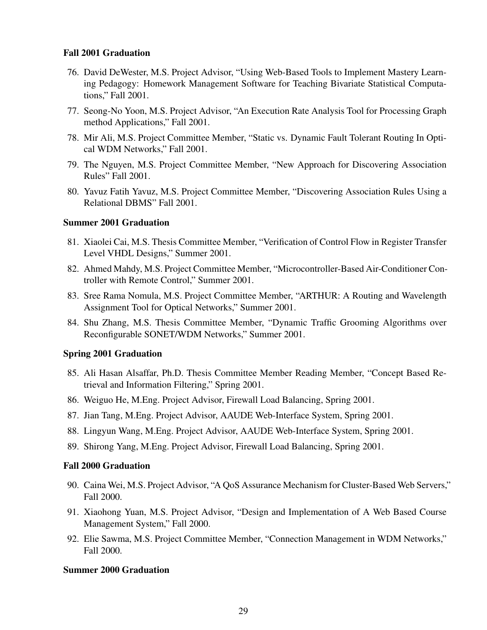# Fall 2001 Graduation

- 76. David DeWester, M.S. Project Advisor, "Using Web-Based Tools to Implement Mastery Learning Pedagogy: Homework Management Software for Teaching Bivariate Statistical Computations," Fall 2001.
- 77. Seong-No Yoon, M.S. Project Advisor, "An Execution Rate Analysis Tool for Processing Graph method Applications," Fall 2001.
- 78. Mir Ali, M.S. Project Committee Member, "Static vs. Dynamic Fault Tolerant Routing In Optical WDM Networks," Fall 2001.
- 79. The Nguyen, M.S. Project Committee Member, "New Approach for Discovering Association Rules" Fall 2001.
- 80. Yavuz Fatih Yavuz, M.S. Project Committee Member, "Discovering Association Rules Using a Relational DBMS" Fall 2001.

# Summer 2001 Graduation

- 81. Xiaolei Cai, M.S. Thesis Committee Member, "Verification of Control Flow in Register Transfer Level VHDL Designs," Summer 2001.
- 82. Ahmed Mahdy, M.S. Project Committee Member, "Microcontroller-Based Air-Conditioner Controller with Remote Control," Summer 2001.
- 83. Sree Rama Nomula, M.S. Project Committee Member, "ARTHUR: A Routing and Wavelength Assignment Tool for Optical Networks," Summer 2001.
- 84. Shu Zhang, M.S. Thesis Committee Member, "Dynamic Traffic Grooming Algorithms over Reconfigurable SONET/WDM Networks," Summer 2001.

# Spring 2001 Graduation

- 85. Ali Hasan Alsaffar, Ph.D. Thesis Committee Member Reading Member, "Concept Based Retrieval and Information Filtering," Spring 2001.
- 86. Weiguo He, M.Eng. Project Advisor, Firewall Load Balancing, Spring 2001.
- 87. Jian Tang, M.Eng. Project Advisor, AAUDE Web-Interface System, Spring 2001.
- 88. Lingyun Wang, M.Eng. Project Advisor, AAUDE Web-Interface System, Spring 2001.
- 89. Shirong Yang, M.Eng. Project Advisor, Firewall Load Balancing, Spring 2001.

#### Fall 2000 Graduation

- 90. Caina Wei, M.S. Project Advisor, "A QoS Assurance Mechanism for Cluster-Based Web Servers," Fall 2000.
- 91. Xiaohong Yuan, M.S. Project Advisor, "Design and Implementation of A Web Based Course Management System," Fall 2000.
- 92. Elie Sawma, M.S. Project Committee Member, "Connection Management in WDM Networks," Fall 2000.

# Summer 2000 Graduation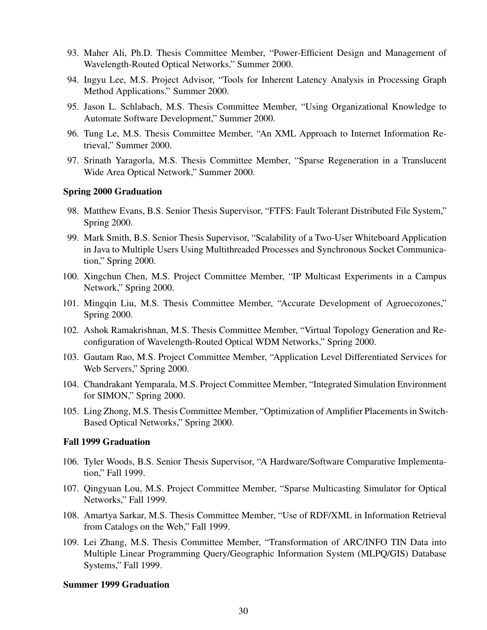- 93. Maher Ali, Ph.D. Thesis Committee Member, "Power-Efficient Design and Management of Wavelength-Routed Optical Networks," Summer 2000.
- 94. Ingyu Lee, M.S. Project Advisor, "Tools for Inherent Latency Analysis in Processing Graph Method Applications." Summer 2000.
- 95. Jason L. Schlabach, M.S. Thesis Committee Member, "Using Organizational Knowledge to Automate Software Development," Summer 2000.
- 96. Tung Le, M.S. Thesis Committee Member, "An XML Approach to Internet Information Retrieval," Summer 2000.
- 97. Srinath Yaragorla, M.S. Thesis Committee Member, "Sparse Regeneration in a Translucent Wide Area Optical Network," Summer 2000.

#### Spring 2000 Graduation

- 98. Matthew Evans, B.S. Senior Thesis Supervisor, "FTFS: Fault Tolerant Distributed File System," Spring 2000.
- 99. Mark Smith, B.S. Senior Thesis Supervisor, "Scalability of a Two-User Whiteboard Application in Java to Multiple Users Using Multithreaded Processes and Synchronous Socket Communication," Spring 2000.
- 100. Xingchun Chen, M.S. Project Committee Member, "IP Multicast Experiments in a Campus Network," Spring 2000.
- 101. Mingqin Liu, M.S. Thesis Committee Member, "Accurate Development of Agroecozones," Spring 2000.
- 102. Ashok Ramakrishnan, M.S. Thesis Committee Member, "Virtual Topology Generation and Reconfiguration of Wavelength-Routed Optical WDM Networks," Spring 2000.
- 103. Gautam Rao, M.S. Project Committee Member, "Application Level Differentiated Services for Web Servers," Spring 2000.
- 104. Chandrakant Yemparala, M.S. Project Committee Member, "Integrated Simulation Environment for SIMON," Spring 2000.
- 105. Ling Zhong, M.S. Thesis Committee Member, "Optimization of Amplifier Placements in Switch-Based Optical Networks," Spring 2000.

# Fall 1999 Graduation

- 106. Tyler Woods, B.S. Senior Thesis Supervisor, "A Hardware/Software Comparative Implementation," Fall 1999.
- 107. Qingyuan Lou, M.S. Project Committee Member, "Sparse Multicasting Simulator for Optical Networks," Fall 1999.
- 108. Amartya Sarkar, M.S. Thesis Committee Member, "Use of RDF/XML in Information Retrieval from Catalogs on the Web," Fall 1999.
- 109. Lei Zhang, M.S. Thesis Committee Member, "Transformation of ARC/INFO TIN Data into Multiple Linear Programming Query/Geographic Information System (MLPQ/GIS) Database Systems," Fall 1999.

#### Summer 1999 Graduation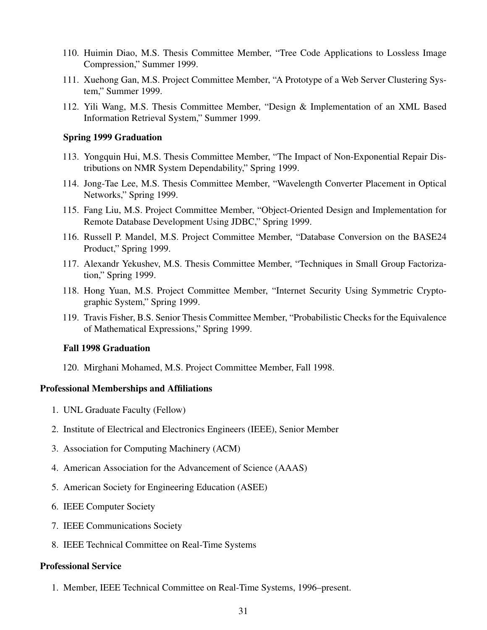- 110. Huimin Diao, M.S. Thesis Committee Member, "Tree Code Applications to Lossless Image Compression," Summer 1999.
- 111. Xuehong Gan, M.S. Project Committee Member, "A Prototype of a Web Server Clustering System," Summer 1999.
- 112. Yili Wang, M.S. Thesis Committee Member, "Design & Implementation of an XML Based Information Retrieval System," Summer 1999.

#### Spring 1999 Graduation

- 113. Yongquin Hui, M.S. Thesis Committee Member, "The Impact of Non-Exponential Repair Distributions on NMR System Dependability," Spring 1999.
- 114. Jong-Tae Lee, M.S. Thesis Committee Member, "Wavelength Converter Placement in Optical Networks," Spring 1999.
- 115. Fang Liu, M.S. Project Committee Member, "Object-Oriented Design and Implementation for Remote Database Development Using JDBC," Spring 1999.
- 116. Russell P. Mandel, M.S. Project Committee Member, "Database Conversion on the BASE24 Product," Spring 1999.
- 117. Alexandr Yekushev, M.S. Thesis Committee Member, "Techniques in Small Group Factorization," Spring 1999.
- 118. Hong Yuan, M.S. Project Committee Member, "Internet Security Using Symmetric Cryptographic System," Spring 1999.
- 119. Travis Fisher, B.S. Senior Thesis Committee Member, "Probabilistic Checks for the Equivalence of Mathematical Expressions," Spring 1999.

#### Fall 1998 Graduation

120. Mirghani Mohamed, M.S. Project Committee Member, Fall 1998.

#### Professional Memberships and Affiliations

- 1. UNL Graduate Faculty (Fellow)
- 2. Institute of Electrical and Electronics Engineers (IEEE), Senior Member
- 3. Association for Computing Machinery (ACM)
- 4. American Association for the Advancement of Science (AAAS)
- 5. American Society for Engineering Education (ASEE)
- 6. IEEE Computer Society
- 7. IEEE Communications Society
- 8. IEEE Technical Committee on Real-Time Systems

#### Professional Service

1. Member, IEEE Technical Committee on Real-Time Systems, 1996–present.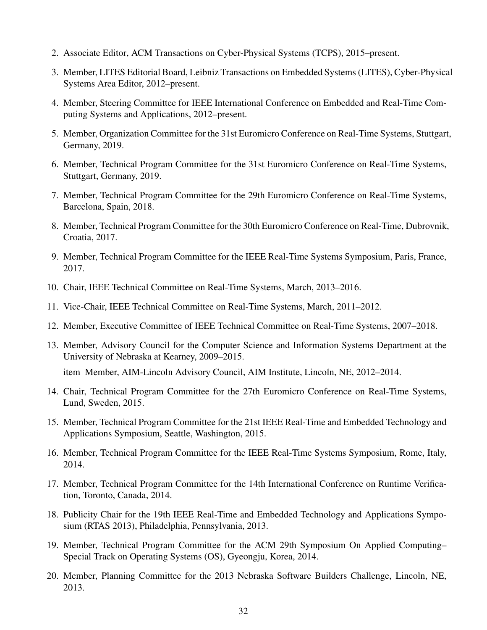- 2. Associate Editor, ACM Transactions on Cyber-Physical Systems (TCPS), 2015–present.
- 3. Member, LITES Editorial Board, Leibniz Transactions on Embedded Systems (LITES), Cyber-Physical Systems Area Editor, 2012–present.
- 4. Member, Steering Committee for IEEE International Conference on Embedded and Real-Time Computing Systems and Applications, 2012–present.
- 5. Member, Organization Committee for the 31st Euromicro Conference on Real-Time Systems, Stuttgart, Germany, 2019.
- 6. Member, Technical Program Committee for the 31st Euromicro Conference on Real-Time Systems, Stuttgart, Germany, 2019.
- 7. Member, Technical Program Committee for the 29th Euromicro Conference on Real-Time Systems, Barcelona, Spain, 2018.
- 8. Member, Technical Program Committee for the 30th Euromicro Conference on Real-Time, Dubrovnik, Croatia, 2017.
- 9. Member, Technical Program Committee for the IEEE Real-Time Systems Symposium, Paris, France, 2017.
- 10. Chair, IEEE Technical Committee on Real-Time Systems, March, 2013–2016.
- 11. Vice-Chair, IEEE Technical Committee on Real-Time Systems, March, 2011–2012.
- 12. Member, Executive Committee of IEEE Technical Committee on Real-Time Systems, 2007–2018.
- 13. Member, Advisory Council for the Computer Science and Information Systems Department at the University of Nebraska at Kearney, 2009–2015.

item Member, AIM-Lincoln Advisory Council, AIM Institute, Lincoln, NE, 2012–2014.

- 14. Chair, Technical Program Committee for the 27th Euromicro Conference on Real-Time Systems, Lund, Sweden, 2015.
- 15. Member, Technical Program Committee for the 21st IEEE Real-Time and Embedded Technology and Applications Symposium, Seattle, Washington, 2015.
- 16. Member, Technical Program Committee for the IEEE Real-Time Systems Symposium, Rome, Italy, 2014.
- 17. Member, Technical Program Committee for the 14th International Conference on Runtime Verification, Toronto, Canada, 2014.
- 18. Publicity Chair for the 19th IEEE Real-Time and Embedded Technology and Applications Symposium (RTAS 2013), Philadelphia, Pennsylvania, 2013.
- 19. Member, Technical Program Committee for the ACM 29th Symposium On Applied Computing– Special Track on Operating Systems (OS), Gyeongju, Korea, 2014.
- 20. Member, Planning Committee for the 2013 Nebraska Software Builders Challenge, Lincoln, NE, 2013.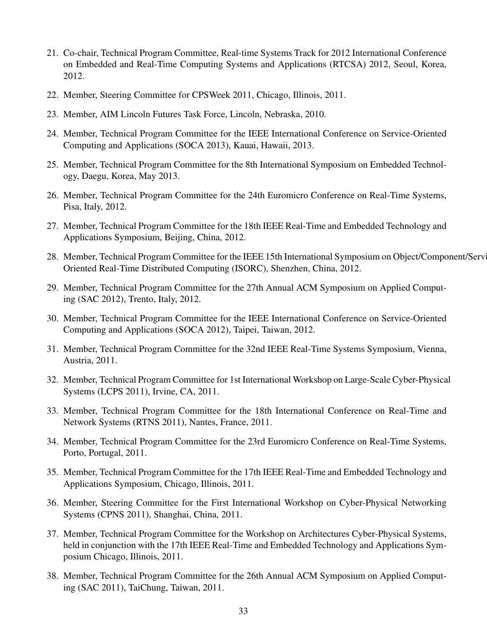- 21. Co-chair, Technical Program Committee, Real-time Systems Track for 2012 International Conference on Embedded and Real-Time Computing Systems and Applications (RTCSA) 2012, Seoul, Korea, 2012.
- 22. Member, Steering Committee for CPSWeek 2011, Chicago, Illinois, 2011.
- 23. Member, AIM Lincoln Futures Task Force, Lincoln, Nebraska, 2010.
- 24. Member, Technical Program Committee for the IEEE International Conference on Service-Oriented Computing and Applications (SOCA 2013), Kauai, Hawaii, 2013.
- 25. Member, Technical Program Committee for the 8th International Symposium on Embedded Technology, Daegu, Korea, May 2013.
- 26. Member, Technical Program Committee for the 24th Euromicro Conference on Real-Time Systems, Pisa, Italy, 2012.
- 27. Member, Technical Program Committee for the 18th IEEE Real-Time and Embedded Technology and Applications Symposium, Beijing, China, 2012.
- 28. Member, Technical Program Committee for the IEEE 15th International Symposium on Object/Component/Service-Oriented Real-Time Distributed Computing (ISORC), Shenzhen, China, 2012.
- 29. Member, Technical Program Committee for the 27th Annual ACM Symposium on Applied Computing (SAC 2012), Trento, Italy, 2012.
- 30. Member, Technical Program Committee for the IEEE International Conference on Service-Oriented Computing and Applications (SOCA 2012), Taipei, Taiwan, 2012.
- 31. Member, Technical Program Committee for the 32nd IEEE Real-Time Systems Symposium, Vienna, Austria, 2011.
- 32. Member, Technical Program Committee for 1st International Workshop on Large-Scale Cyber-Physical Systems (LCPS 2011), Irvine, CA, 2011.
- 33. Member, Technical Program Committee for the 18th International Conference on Real-Time and Network Systems (RTNS 2011), Nantes, France, 2011.
- 34. Member, Technical Program Committee for the 23rd Euromicro Conference on Real-Time Systems, Porto, Portugal, 2011.
- 35. Member, Technical Program Committee for the 17th IEEE Real-Time and Embedded Technology and Applications Symposium, Chicago, Illinois, 2011.
- 36. Member, Steering Committee for the First International Workshop on Cyber-Physical Networking Systems (CPNS 2011), Shanghai, China, 2011.
- 37. Member, Technical Program Committee for the Workshop on Architectures Cyber-Physical Systems, held in conjunction with the 17th IEEE Real-Time and Embedded Technology and Applications Symposium Chicago, Illinois, 2011.
- 38. Member, Technical Program Committee for the 26th Annual ACM Symposium on Applied Computing (SAC 2011), TaiChung, Taiwan, 2011.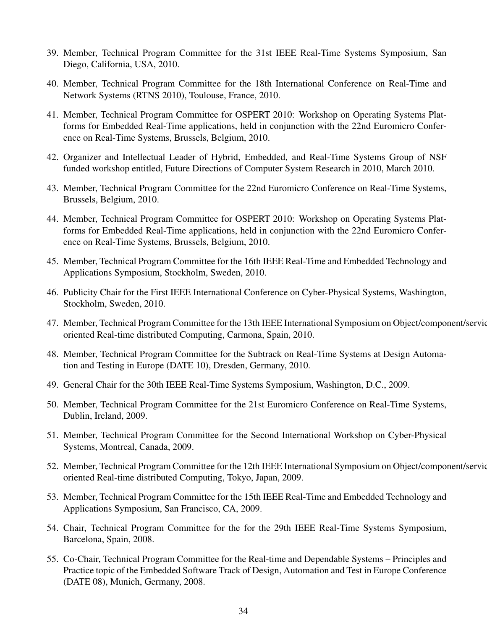- 39. Member, Technical Program Committee for the 31st IEEE Real-Time Systems Symposium, San Diego, California, USA, 2010.
- 40. Member, Technical Program Committee for the 18th International Conference on Real-Time and Network Systems (RTNS 2010), Toulouse, France, 2010.
- 41. Member, Technical Program Committee for OSPERT 2010: Workshop on Operating Systems Platforms for Embedded Real-Time applications, held in conjunction with the 22nd Euromicro Conference on Real-Time Systems, Brussels, Belgium, 2010.
- 42. Organizer and Intellectual Leader of Hybrid, Embedded, and Real-Time Systems Group of NSF funded workshop entitled, Future Directions of Computer System Research in 2010, March 2010.
- 43. Member, Technical Program Committee for the 22nd Euromicro Conference on Real-Time Systems, Brussels, Belgium, 2010.
- 44. Member, Technical Program Committee for OSPERT 2010: Workshop on Operating Systems Platforms for Embedded Real-Time applications, held in conjunction with the 22nd Euromicro Conference on Real-Time Systems, Brussels, Belgium, 2010.
- 45. Member, Technical Program Committee for the 16th IEEE Real-Time and Embedded Technology and Applications Symposium, Stockholm, Sweden, 2010.
- 46. Publicity Chair for the First IEEE International Conference on Cyber-Physical Systems, Washington, Stockholm, Sweden, 2010.
- 47. Member, Technical Program Committee for the 13th IEEE International Symposium on Object/component/serviceoriented Real-time distributed Computing, Carmona, Spain, 2010.
- 48. Member, Technical Program Committee for the Subtrack on Real-Time Systems at Design Automation and Testing in Europe (DATE 10), Dresden, Germany, 2010.
- 49. General Chair for the 30th IEEE Real-Time Systems Symposium, Washington, D.C., 2009.
- 50. Member, Technical Program Committee for the 21st Euromicro Conference on Real-Time Systems, Dublin, Ireland, 2009.
- 51. Member, Technical Program Committee for the Second International Workshop on Cyber-Physical Systems, Montreal, Canada, 2009.
- 52. Member, Technical Program Committee for the 12th IEEE International Symposium on Object/component/serviceoriented Real-time distributed Computing, Tokyo, Japan, 2009.
- 53. Member, Technical Program Committee for the 15th IEEE Real-Time and Embedded Technology and Applications Symposium, San Francisco, CA, 2009.
- 54. Chair, Technical Program Committee for the for the 29th IEEE Real-Time Systems Symposium, Barcelona, Spain, 2008.
- 55. Co-Chair, Technical Program Committee for the Real-time and Dependable Systems Principles and Practice topic of the Embedded Software Track of Design, Automation and Test in Europe Conference (DATE 08), Munich, Germany, 2008.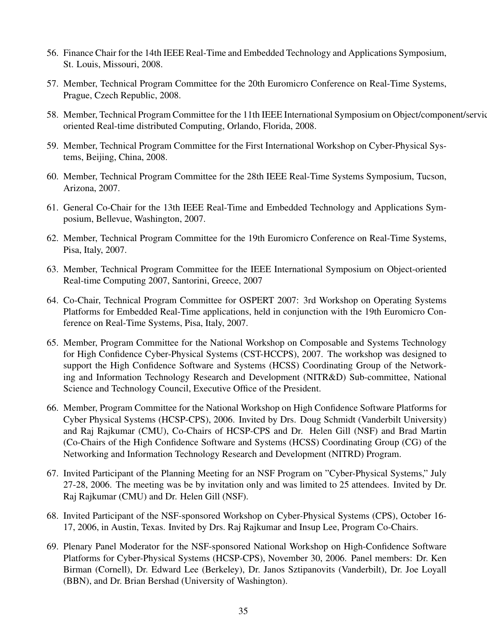- 56. Finance Chair for the 14th IEEE Real-Time and Embedded Technology and Applications Symposium, St. Louis, Missouri, 2008.
- 57. Member, Technical Program Committee for the 20th Euromicro Conference on Real-Time Systems, Prague, Czech Republic, 2008.
- 58. Member, Technical Program Committee for the 11th IEEE International Symposium on Object/component/serviceoriented Real-time distributed Computing, Orlando, Florida, 2008.
- 59. Member, Technical Program Committee for the First International Workshop on Cyber-Physical Systems, Beijing, China, 2008.
- 60. Member, Technical Program Committee for the 28th IEEE Real-Time Systems Symposium, Tucson, Arizona, 2007.
- 61. General Co-Chair for the 13th IEEE Real-Time and Embedded Technology and Applications Symposium, Bellevue, Washington, 2007.
- 62. Member, Technical Program Committee for the 19th Euromicro Conference on Real-Time Systems, Pisa, Italy, 2007.
- 63. Member, Technical Program Committee for the IEEE International Symposium on Object-oriented Real-time Computing 2007, Santorini, Greece, 2007
- 64. Co-Chair, Technical Program Committee for OSPERT 2007: 3rd Workshop on Operating Systems Platforms for Embedded Real-Time applications, held in conjunction with the 19th Euromicro Conference on Real-Time Systems, Pisa, Italy, 2007.
- 65. Member, Program Committee for the National Workshop on Composable and Systems Technology for High Confidence Cyber-Physical Systems (CST-HCCPS), 2007. The workshop was designed to support the High Confidence Software and Systems (HCSS) Coordinating Group of the Networking and Information Technology Research and Development (NITR&D) Sub-committee, National Science and Technology Council, Executive Office of the President.
- 66. Member, Program Committee for the National Workshop on High Confidence Software Platforms for Cyber Physical Systems (HCSP-CPS), 2006. Invited by Drs. Doug Schmidt (Vanderbilt University) and Raj Rajkumar (CMU), Co-Chairs of HCSP-CPS and Dr. Helen Gill (NSF) and Brad Martin (Co-Chairs of the High Confidence Software and Systems (HCSS) Coordinating Group (CG) of the Networking and Information Technology Research and Development (NITRD) Program.
- 67. Invited Participant of the Planning Meeting for an NSF Program on "Cyber-Physical Systems," July 27-28, 2006. The meeting was be by invitation only and was limited to 25 attendees. Invited by Dr. Raj Rajkumar (CMU) and Dr. Helen Gill (NSF).
- 68. Invited Participant of the NSF-sponsored Workshop on Cyber-Physical Systems (CPS), October 16- 17, 2006, in Austin, Texas. Invited by Drs. Raj Rajkumar and Insup Lee, Program Co-Chairs.
- 69. Plenary Panel Moderator for the NSF-sponsored National Workshop on High-Confidence Software Platforms for Cyber-Physical Systems (HCSP-CPS), November 30, 2006. Panel members: Dr. Ken Birman (Cornell), Dr. Edward Lee (Berkeley), Dr. Janos Sztipanovits (Vanderbilt), Dr. Joe Loyall (BBN), and Dr. Brian Bershad (University of Washington).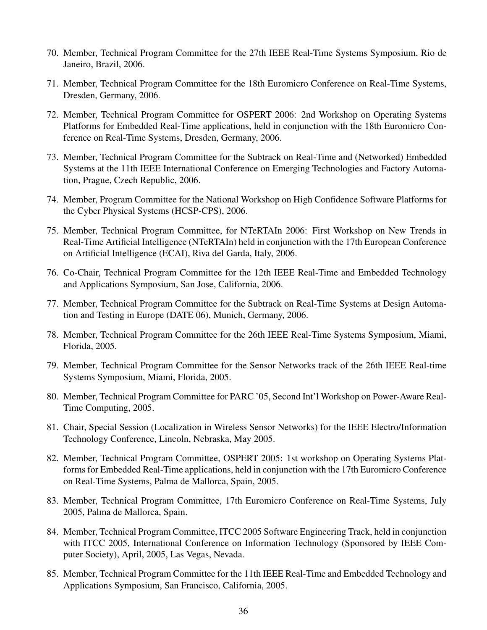- 70. Member, Technical Program Committee for the 27th IEEE Real-Time Systems Symposium, Rio de Janeiro, Brazil, 2006.
- 71. Member, Technical Program Committee for the 18th Euromicro Conference on Real-Time Systems, Dresden, Germany, 2006.
- 72. Member, Technical Program Committee for OSPERT 2006: 2nd Workshop on Operating Systems Platforms for Embedded Real-Time applications, held in conjunction with the 18th Euromicro Conference on Real-Time Systems, Dresden, Germany, 2006.
- 73. Member, Technical Program Committee for the Subtrack on Real-Time and (Networked) Embedded Systems at the 11th IEEE International Conference on Emerging Technologies and Factory Automation, Prague, Czech Republic, 2006.
- 74. Member, Program Committee for the National Workshop on High Confidence Software Platforms for the Cyber Physical Systems (HCSP-CPS), 2006.
- 75. Member, Technical Program Committee, for NTeRTAIn 2006: First Workshop on New Trends in Real-Time Artificial Intelligence (NTeRTAIn) held in conjunction with the 17th European Conference on Artificial Intelligence (ECAI), Riva del Garda, Italy, 2006.
- 76. Co-Chair, Technical Program Committee for the 12th IEEE Real-Time and Embedded Technology and Applications Symposium, San Jose, California, 2006.
- 77. Member, Technical Program Committee for the Subtrack on Real-Time Systems at Design Automation and Testing in Europe (DATE 06), Munich, Germany, 2006.
- 78. Member, Technical Program Committee for the 26th IEEE Real-Time Systems Symposium, Miami, Florida, 2005.
- 79. Member, Technical Program Committee for the Sensor Networks track of the 26th IEEE Real-time Systems Symposium, Miami, Florida, 2005.
- 80. Member, Technical Program Committee for PARC '05, Second Int'l Workshop on Power-Aware Real-Time Computing, 2005.
- 81. Chair, Special Session (Localization in Wireless Sensor Networks) for the IEEE Electro/Information Technology Conference, Lincoln, Nebraska, May 2005.
- 82. Member, Technical Program Committee, OSPERT 2005: 1st workshop on Operating Systems Platforms for Embedded Real-Time applications, held in conjunction with the 17th Euromicro Conference on Real-Time Systems, Palma de Mallorca, Spain, 2005.
- 83. Member, Technical Program Committee, 17th Euromicro Conference on Real-Time Systems, July 2005, Palma de Mallorca, Spain.
- 84. Member, Technical Program Committee, ITCC 2005 Software Engineering Track, held in conjunction with ITCC 2005, International Conference on Information Technology (Sponsored by IEEE Computer Society), April, 2005, Las Vegas, Nevada.
- 85. Member, Technical Program Committee for the 11th IEEE Real-Time and Embedded Technology and Applications Symposium, San Francisco, California, 2005.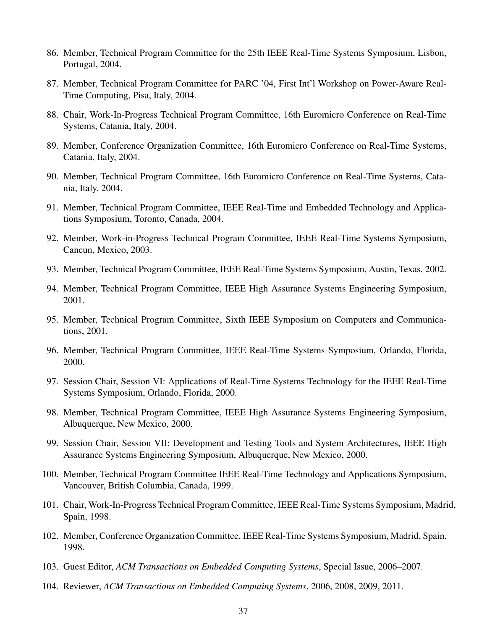- 86. Member, Technical Program Committee for the 25th IEEE Real-Time Systems Symposium, Lisbon, Portugal, 2004.
- 87. Member, Technical Program Committee for PARC '04, First Int'l Workshop on Power-Aware Real-Time Computing, Pisa, Italy, 2004.
- 88. Chair, Work-In-Progress Technical Program Committee, 16th Euromicro Conference on Real-Time Systems, Catania, Italy, 2004.
- 89. Member, Conference Organization Committee, 16th Euromicro Conference on Real-Time Systems, Catania, Italy, 2004.
- 90. Member, Technical Program Committee, 16th Euromicro Conference on Real-Time Systems, Catania, Italy, 2004.
- 91. Member, Technical Program Committee, IEEE Real-Time and Embedded Technology and Applications Symposium, Toronto, Canada, 2004.
- 92. Member, Work-in-Progress Technical Program Committee, IEEE Real-Time Systems Symposium, Cancun, Mexico, 2003.
- 93. Member, Technical Program Committee, IEEE Real-Time Systems Symposium, Austin, Texas, 2002.
- 94. Member, Technical Program Committee, IEEE High Assurance Systems Engineering Symposium, 2001.
- 95. Member, Technical Program Committee, Sixth IEEE Symposium on Computers and Communications, 2001.
- 96. Member, Technical Program Committee, IEEE Real-Time Systems Symposium, Orlando, Florida, 2000.
- 97. Session Chair, Session VI: Applications of Real-Time Systems Technology for the IEEE Real-Time Systems Symposium, Orlando, Florida, 2000.
- 98. Member, Technical Program Committee, IEEE High Assurance Systems Engineering Symposium, Albuquerque, New Mexico, 2000.
- 99. Session Chair, Session VII: Development and Testing Tools and System Architectures, IEEE High Assurance Systems Engineering Symposium, Albuquerque, New Mexico, 2000.
- 100. Member, Technical Program Committee IEEE Real-Time Technology and Applications Symposium, Vancouver, British Columbia, Canada, 1999.
- 101. Chair, Work-In-Progress Technical Program Committee, IEEE Real-Time Systems Symposium, Madrid, Spain, 1998.
- 102. Member, Conference Organization Committee, IEEE Real-Time Systems Symposium, Madrid, Spain, 1998.
- 103. Guest Editor, *ACM Transactions on Embedded Computing Systems*, Special Issue, 2006–2007.
- 104. Reviewer, *ACM Transactions on Embedded Computing Systems*, 2006, 2008, 2009, 2011.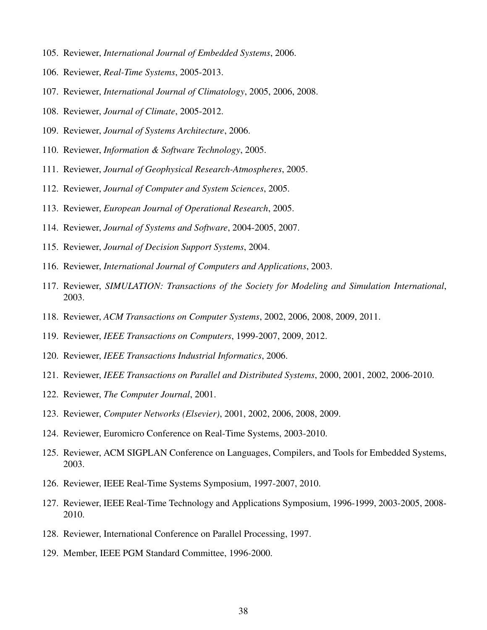- 105. Reviewer, *International Journal of Embedded Systems*, 2006.
- 106. Reviewer, *Real-Time Systems*, 2005-2013.
- 107. Reviewer, *International Journal of Climatology*, 2005, 2006, 2008.
- 108. Reviewer, *Journal of Climate*, 2005-2012.
- 109. Reviewer, *Journal of Systems Architecture*, 2006.
- 110. Reviewer, *Information & Software Technology*, 2005.
- 111. Reviewer, *Journal of Geophysical Research-Atmospheres*, 2005.
- 112. Reviewer, *Journal of Computer and System Sciences*, 2005.
- 113. Reviewer, *European Journal of Operational Research*, 2005.
- 114. Reviewer, *Journal of Systems and Software*, 2004-2005, 2007.
- 115. Reviewer, *Journal of Decision Support Systems*, 2004.
- 116. Reviewer, *International Journal of Computers and Applications*, 2003.
- 117. Reviewer, *SIMULATION: Transactions of the Society for Modeling and Simulation International*, 2003.
- 118. Reviewer, *ACM Transactions on Computer Systems*, 2002, 2006, 2008, 2009, 2011.
- 119. Reviewer, *IEEE Transactions on Computers*, 1999-2007, 2009, 2012.
- 120. Reviewer, *IEEE Transactions Industrial Informatics*, 2006.
- 121. Reviewer, *IEEE Transactions on Parallel and Distributed Systems*, 2000, 2001, 2002, 2006-2010.
- 122. Reviewer, *The Computer Journal*, 2001.
- 123. Reviewer, *Computer Networks (Elsevier)*, 2001, 2002, 2006, 2008, 2009.
- 124. Reviewer, Euromicro Conference on Real-Time Systems, 2003-2010.
- 125. Reviewer, ACM SIGPLAN Conference on Languages, Compilers, and Tools for Embedded Systems, 2003.
- 126. Reviewer, IEEE Real-Time Systems Symposium, 1997-2007, 2010.
- 127. Reviewer, IEEE Real-Time Technology and Applications Symposium, 1996-1999, 2003-2005, 2008- 2010.
- 128. Reviewer, International Conference on Parallel Processing, 1997.
- 129. Member, IEEE PGM Standard Committee, 1996-2000.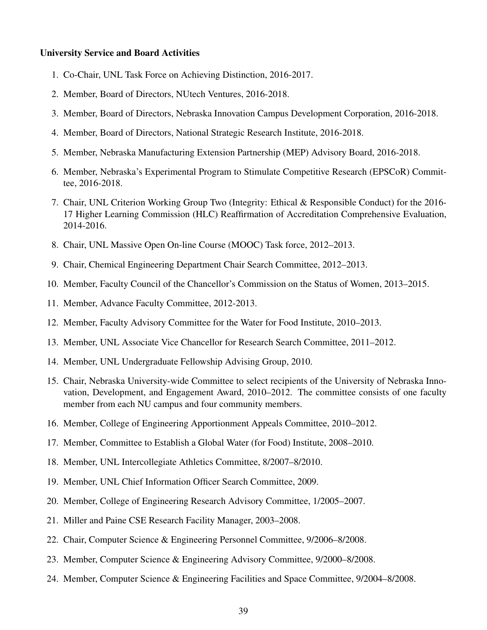#### University Service and Board Activities

- 1. Co-Chair, UNL Task Force on Achieving Distinction, 2016-2017.
- 2. Member, Board of Directors, NUtech Ventures, 2016-2018.
- 3. Member, Board of Directors, Nebraska Innovation Campus Development Corporation, 2016-2018.
- 4. Member, Board of Directors, National Strategic Research Institute, 2016-2018.
- 5. Member, Nebraska Manufacturing Extension Partnership (MEP) Advisory Board, 2016-2018.
- 6. Member, Nebraska's Experimental Program to Stimulate Competitive Research (EPSCoR) Committee, 2016-2018.
- 7. Chair, UNL Criterion Working Group Two (Integrity: Ethical & Responsible Conduct) for the 2016- 17 Higher Learning Commission (HLC) Reaffirmation of Accreditation Comprehensive Evaluation, 2014-2016.
- 8. Chair, UNL Massive Open On-line Course (MOOC) Task force, 2012–2013.
- 9. Chair, Chemical Engineering Department Chair Search Committee, 2012–2013.
- 10. Member, Faculty Council of the Chancellor's Commission on the Status of Women, 2013–2015.
- 11. Member, Advance Faculty Committee, 2012-2013.
- 12. Member, Faculty Advisory Committee for the Water for Food Institute, 2010–2013.
- 13. Member, UNL Associate Vice Chancellor for Research Search Committee, 2011–2012.
- 14. Member, UNL Undergraduate Fellowship Advising Group, 2010.
- 15. Chair, Nebraska University-wide Committee to select recipients of the University of Nebraska Innovation, Development, and Engagement Award, 2010–2012. The committee consists of one faculty member from each NU campus and four community members.
- 16. Member, College of Engineering Apportionment Appeals Committee, 2010–2012.
- 17. Member, Committee to Establish a Global Water (for Food) Institute, 2008–2010.
- 18. Member, UNL Intercollegiate Athletics Committee, 8/2007–8/2010.
- 19. Member, UNL Chief Information Officer Search Committee, 2009.
- 20. Member, College of Engineering Research Advisory Committee, 1/2005–2007.
- 21. Miller and Paine CSE Research Facility Manager, 2003–2008.
- 22. Chair, Computer Science & Engineering Personnel Committee, 9/2006–8/2008.
- 23. Member, Computer Science & Engineering Advisory Committee, 9/2000–8/2008.
- 24. Member, Computer Science & Engineering Facilities and Space Committee, 9/2004–8/2008.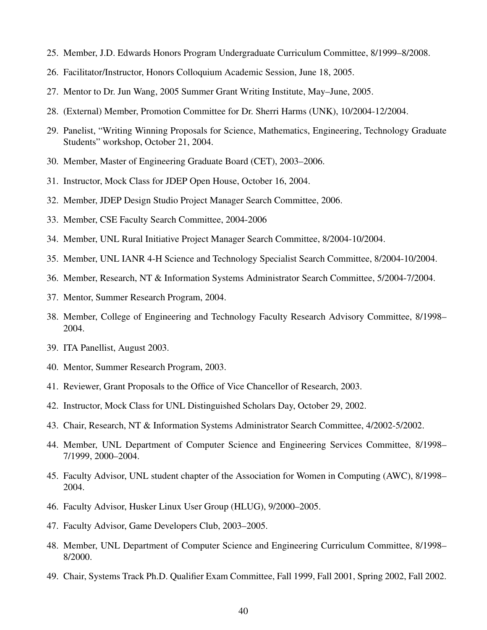- 25. Member, J.D. Edwards Honors Program Undergraduate Curriculum Committee, 8/1999–8/2008.
- 26. Facilitator/Instructor, Honors Colloquium Academic Session, June 18, 2005.
- 27. Mentor to Dr. Jun Wang, 2005 Summer Grant Writing Institute, May–June, 2005.
- 28. (External) Member, Promotion Committee for Dr. Sherri Harms (UNK), 10/2004-12/2004.
- 29. Panelist, "Writing Winning Proposals for Science, Mathematics, Engineering, Technology Graduate Students" workshop, October 21, 2004.
- 30. Member, Master of Engineering Graduate Board (CET), 2003–2006.
- 31. Instructor, Mock Class for JDEP Open House, October 16, 2004.
- 32. Member, JDEP Design Studio Project Manager Search Committee, 2006.
- 33. Member, CSE Faculty Search Committee, 2004-2006
- 34. Member, UNL Rural Initiative Project Manager Search Committee, 8/2004-10/2004.
- 35. Member, UNL IANR 4-H Science and Technology Specialist Search Committee, 8/2004-10/2004.
- 36. Member, Research, NT & Information Systems Administrator Search Committee, 5/2004-7/2004.
- 37. Mentor, Summer Research Program, 2004.
- 38. Member, College of Engineering and Technology Faculty Research Advisory Committee, 8/1998– 2004.
- 39. ITA Panellist, August 2003.
- 40. Mentor, Summer Research Program, 2003.
- 41. Reviewer, Grant Proposals to the Office of Vice Chancellor of Research, 2003.
- 42. Instructor, Mock Class for UNL Distinguished Scholars Day, October 29, 2002.
- 43. Chair, Research, NT & Information Systems Administrator Search Committee, 4/2002-5/2002.
- 44. Member, UNL Department of Computer Science and Engineering Services Committee, 8/1998– 7/1999, 2000–2004.
- 45. Faculty Advisor, UNL student chapter of the Association for Women in Computing (AWC), 8/1998– 2004.
- 46. Faculty Advisor, Husker Linux User Group (HLUG), 9/2000–2005.
- 47. Faculty Advisor, Game Developers Club, 2003–2005.
- 48. Member, UNL Department of Computer Science and Engineering Curriculum Committee, 8/1998– 8/2000.
- 49. Chair, Systems Track Ph.D. Qualifier Exam Committee, Fall 1999, Fall 2001, Spring 2002, Fall 2002.